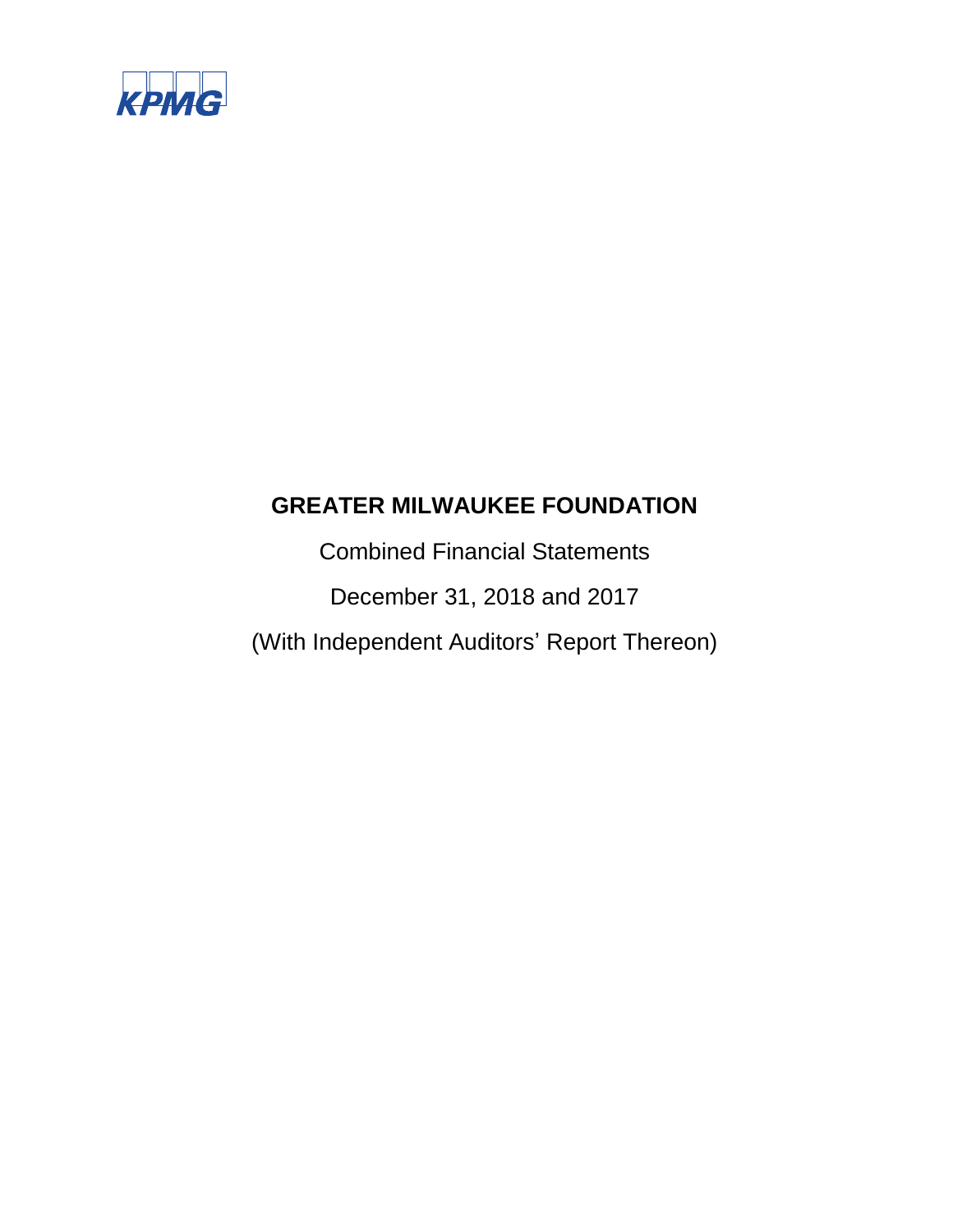

Combined Financial Statements December 31, 2018 and 2017 (With Independent Auditors' Report Thereon)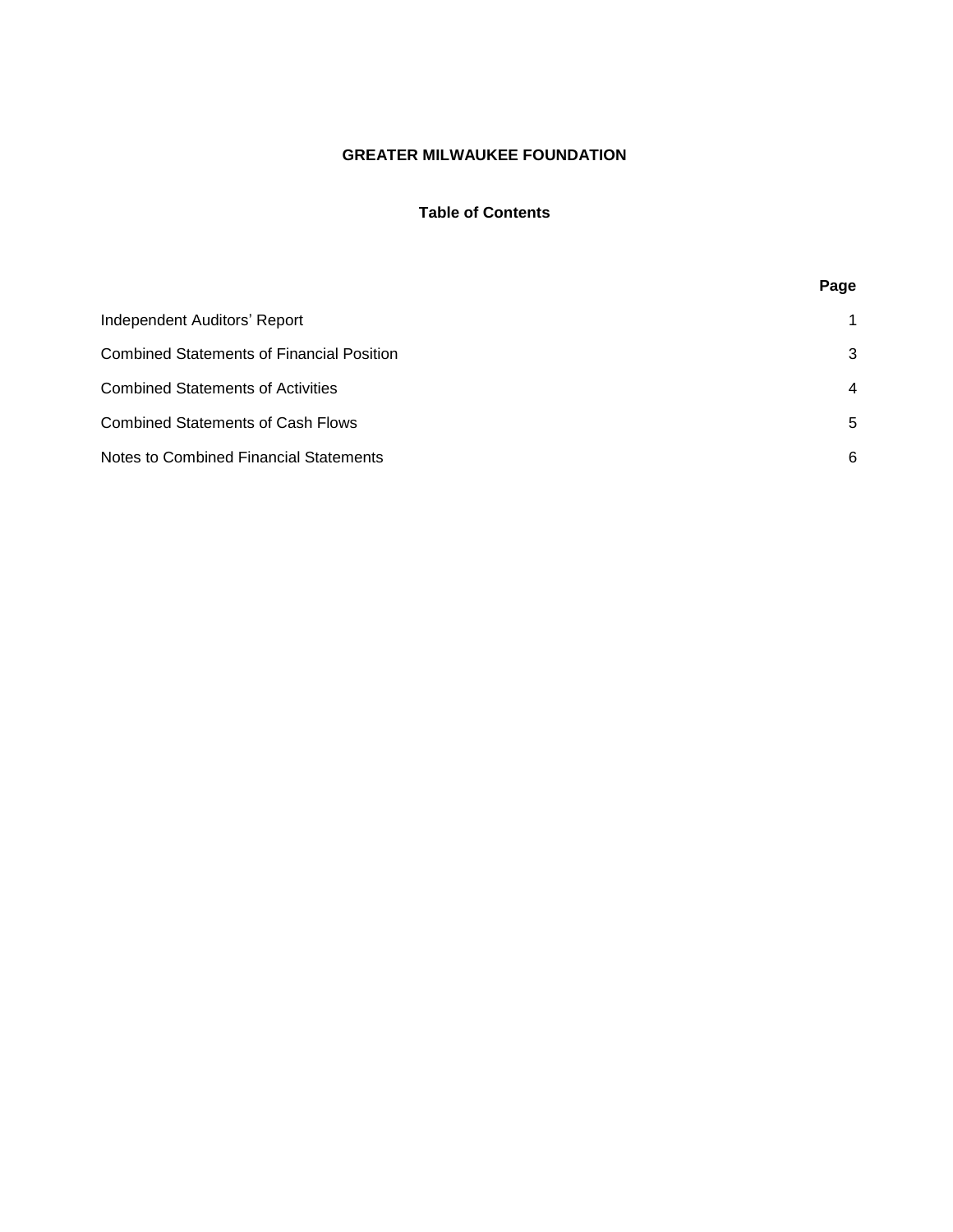# **Table of Contents**

|                                                  | Page |
|--------------------------------------------------|------|
| Independent Auditors' Report                     | 1    |
| <b>Combined Statements of Financial Position</b> | 3    |
| <b>Combined Statements of Activities</b>         | 4    |
| <b>Combined Statements of Cash Flows</b>         | 5    |
| Notes to Combined Financial Statements           | 6    |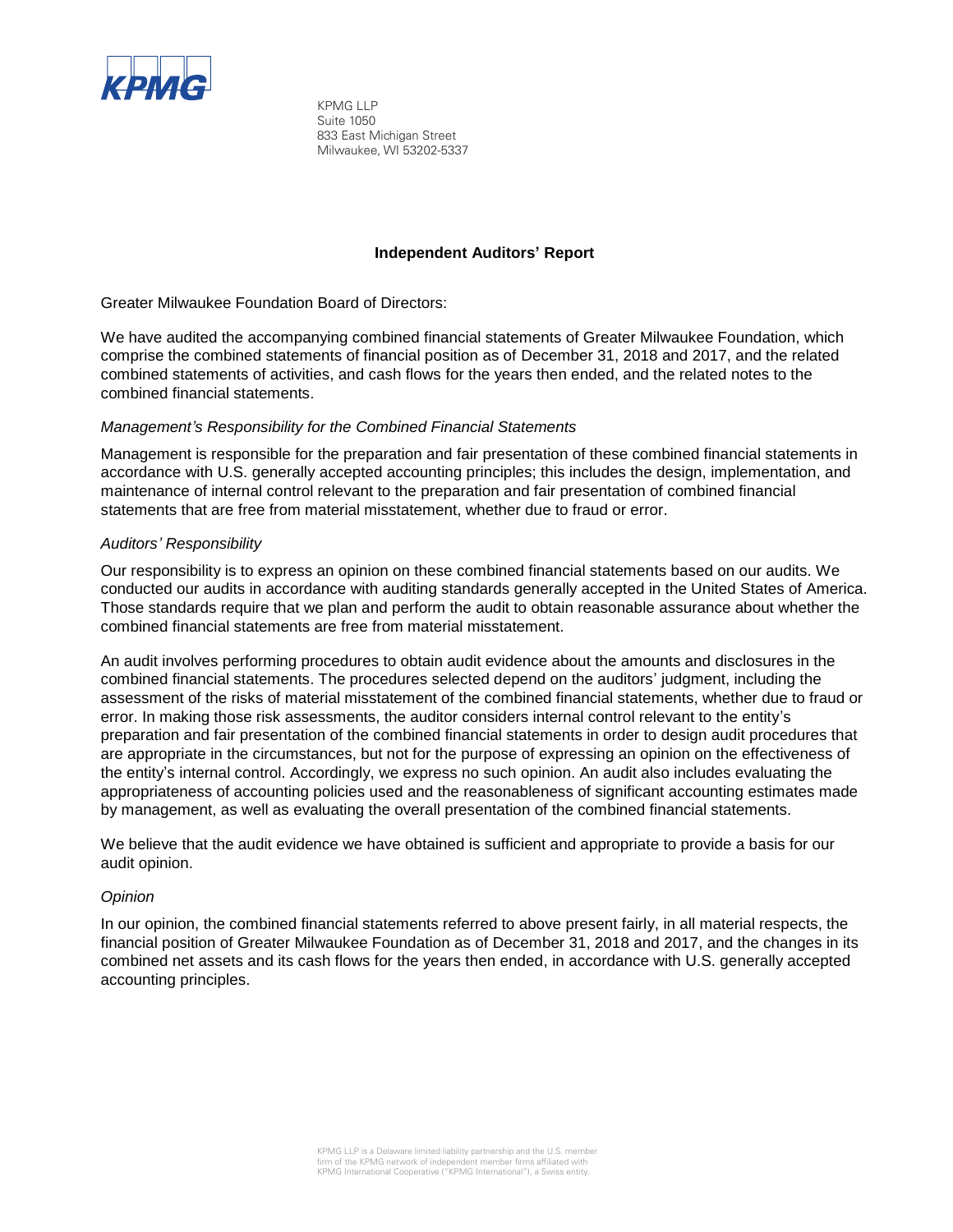

KPMG LLP Suite 1050 833 East Michigan Street Milwaukee, WI 53202-5337

## **Independent Auditors' Report**

Greater Milwaukee Foundation Board of Directors:

We have audited the accompanying combined financial statements of Greater Milwaukee Foundation, which comprise the combined statements of financial position as of December 31, 2018 and 2017, and the related combined statements of activities, and cash flows for the years then ended, and the related notes to the combined financial statements.

#### *Management's Responsibility for the Combined Financial Statements*

Management is responsible for the preparation and fair presentation of these combined financial statements in accordance with U.S. generally accepted accounting principles; this includes the design, implementation, and maintenance of internal control relevant to the preparation and fair presentation of combined financial statements that are free from material misstatement, whether due to fraud or error.

# *Auditors' Responsibility*

Our responsibility is to express an opinion on these combined financial statements based on our audits. We conducted our audits in accordance with auditing standards generally accepted in the United States of America. Those standards require that we plan and perform the audit to obtain reasonable assurance about whether the combined financial statements are free from material misstatement.

An audit involves performing procedures to obtain audit evidence about the amounts and disclosures in the combined financial statements. The procedures selected depend on the auditors' judgment, including the assessment of the risks of material misstatement of the combined financial statements, whether due to fraud or error. In making those risk assessments, the auditor considers internal control relevant to the entity's preparation and fair presentation of the combined financial statements in order to design audit procedures that are appropriate in the circumstances, but not for the purpose of expressing an opinion on the effectiveness of the entity's internal control. Accordingly, we express no such opinion. An audit also includes evaluating the appropriateness of accounting policies used and the reasonableness of significant accounting estimates made by management, as well as evaluating the overall presentation of the combined financial statements.

We believe that the audit evidence we have obtained is sufficient and appropriate to provide a basis for our audit opinion.

#### *Opinion*

In our opinion, the combined financial statements referred to above present fairly, in all material respects, the financial position of Greater Milwaukee Foundation as of December 31, 2018 and 2017, and the changes in its combined net assets and its cash flows for the years then ended, in accordance with U.S. generally accepted accounting principles.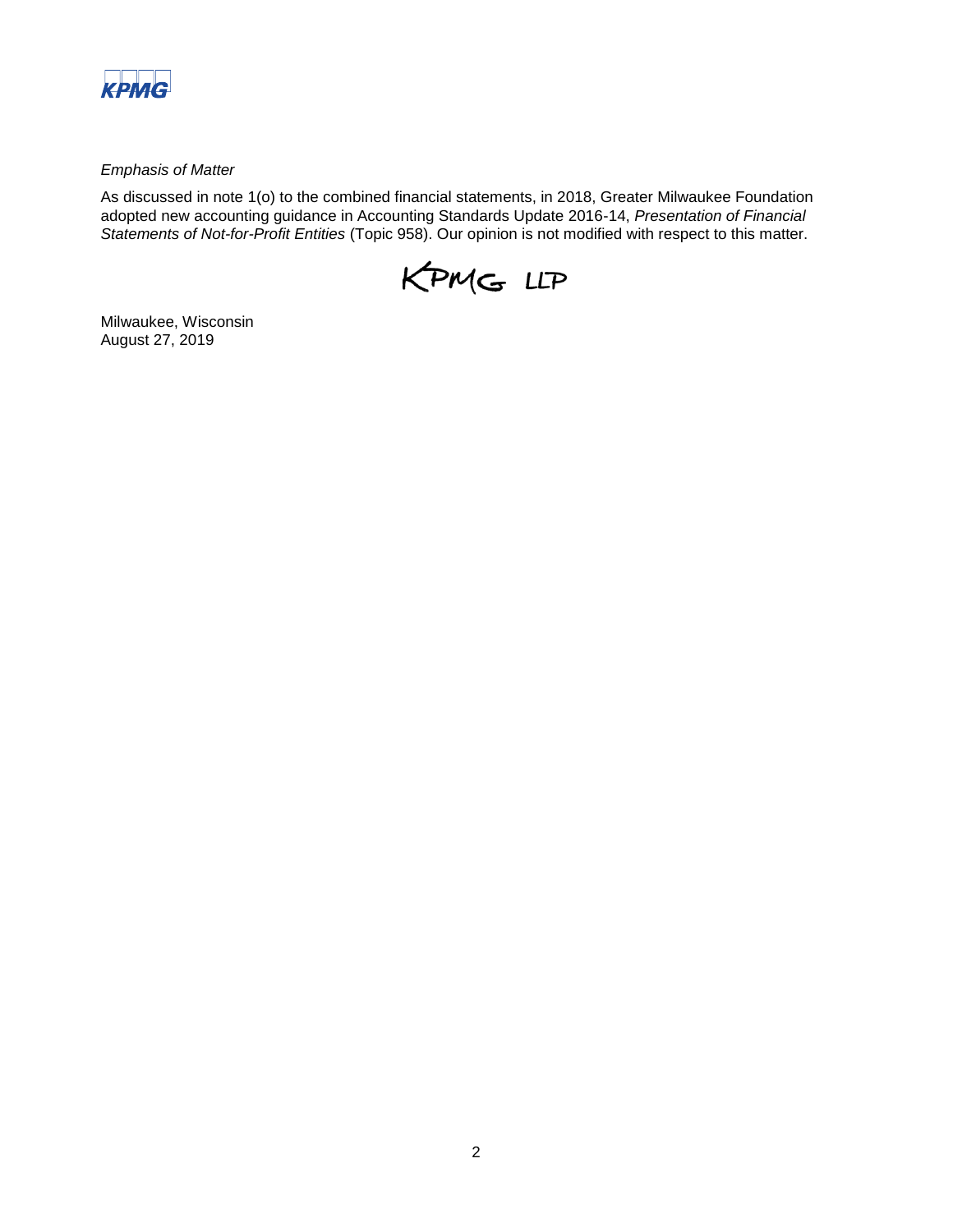

*Emphasis of Matter* 

As discussed in note 1(o) to the combined financial statements, in 2018, Greater Milwaukee Foundation adopted new accounting guidance in Accounting Standards Update 2016-14, *Presentation of Financial Statements of Not-for-Profit Entities* (Topic 958). Our opinion is not modified with respect to this matter.



Milwaukee, Wisconsin August 27, 2019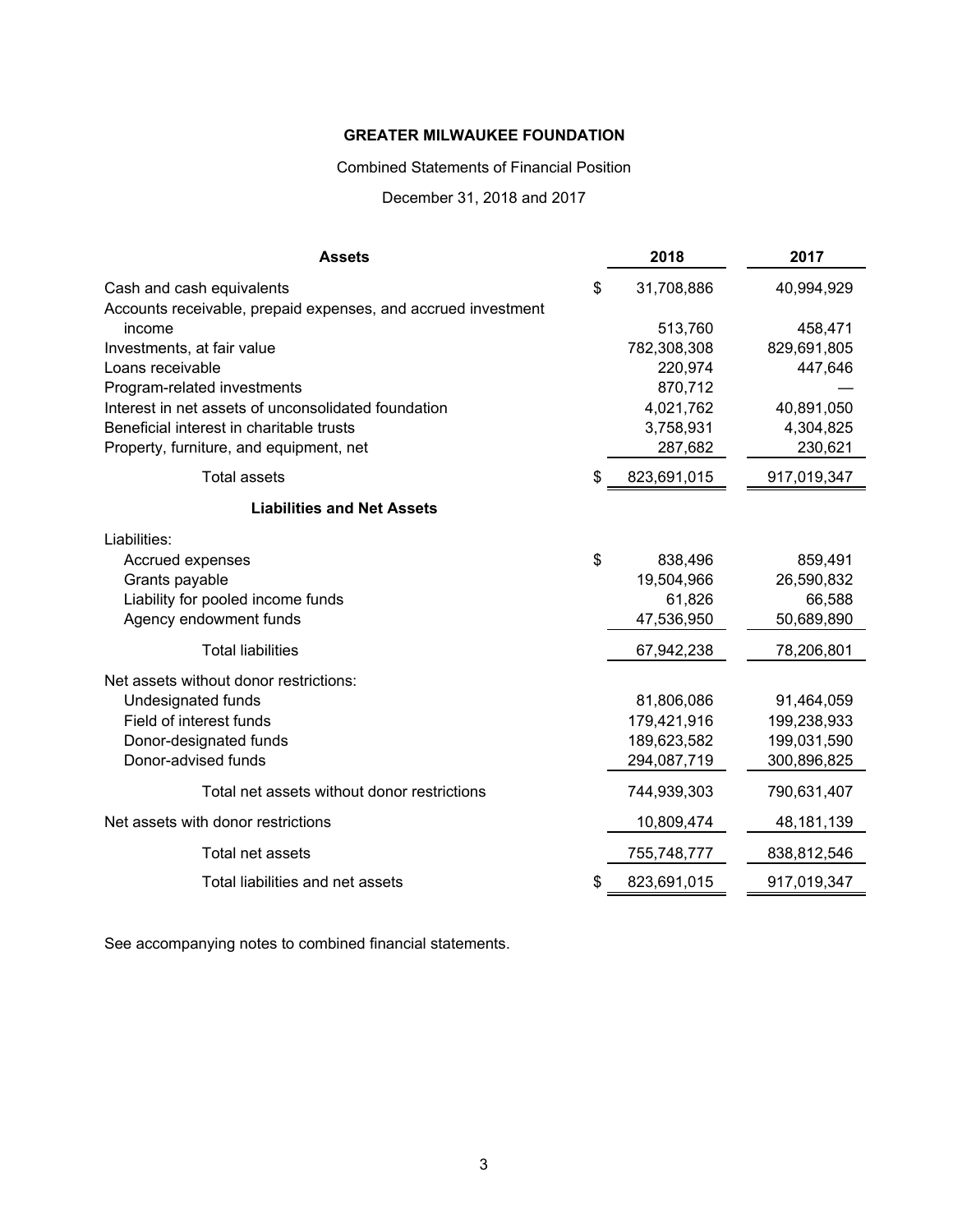Combined Statements of Financial Position

December 31, 2018 and 2017

| \$<br>31,708,886<br>Cash and cash equivalents<br>40,994,929<br>Accounts receivable, prepaid expenses, and accrued investment<br>513,760<br>458,471<br>income<br>782,308,308<br>Investments, at fair value<br>829,691,805<br>220,974<br>447,646<br>Loans receivable<br>870,712<br>Program-related investments<br>Interest in net assets of unconsolidated foundation<br>4,021,762<br>40,891,050<br>Beneficial interest in charitable trusts<br>3,758,931<br>4,304,825<br>287,682<br>230,621<br>Property, furniture, and equipment, net<br><b>Total assets</b><br>\$<br>823,691,015<br>917,019,347<br><b>Liabilities and Net Assets</b><br>Liabilities:<br>\$<br>859,491<br>Accrued expenses<br>838,496<br>Grants payable<br>19,504,966<br>26,590,832<br>Liability for pooled income funds<br>61,826<br>66,588<br>Agency endowment funds<br>47,536,950<br>50,689,890<br><b>Total liabilities</b><br>67,942,238<br>78,206,801<br>Net assets without donor restrictions:<br>Undesignated funds<br>81,806,086<br>91,464,059<br>Field of interest funds<br>179,421,916<br>199,238,933<br>189,623,582<br>199,031,590<br>Donor-designated funds<br>Donor-advised funds<br>294,087,719<br>300,896,825<br>Total net assets without donor restrictions<br>744,939,303<br>790,631,407<br>Net assets with donor restrictions<br>10,809,474<br>48, 181, 139<br>Total net assets<br>755,748,777<br>838,812,546<br>Total liabilities and net assets<br>\$<br>823,691,015<br>917,019,347 | <b>Assets</b> | 2018 | 2017 |
|-------------------------------------------------------------------------------------------------------------------------------------------------------------------------------------------------------------------------------------------------------------------------------------------------------------------------------------------------------------------------------------------------------------------------------------------------------------------------------------------------------------------------------------------------------------------------------------------------------------------------------------------------------------------------------------------------------------------------------------------------------------------------------------------------------------------------------------------------------------------------------------------------------------------------------------------------------------------------------------------------------------------------------------------------------------------------------------------------------------------------------------------------------------------------------------------------------------------------------------------------------------------------------------------------------------------------------------------------------------------------------------------------------------------------------------------------------------------------|---------------|------|------|
|                                                                                                                                                                                                                                                                                                                                                                                                                                                                                                                                                                                                                                                                                                                                                                                                                                                                                                                                                                                                                                                                                                                                                                                                                                                                                                                                                                                                                                                                         |               |      |      |
|                                                                                                                                                                                                                                                                                                                                                                                                                                                                                                                                                                                                                                                                                                                                                                                                                                                                                                                                                                                                                                                                                                                                                                                                                                                                                                                                                                                                                                                                         |               |      |      |
|                                                                                                                                                                                                                                                                                                                                                                                                                                                                                                                                                                                                                                                                                                                                                                                                                                                                                                                                                                                                                                                                                                                                                                                                                                                                                                                                                                                                                                                                         |               |      |      |
|                                                                                                                                                                                                                                                                                                                                                                                                                                                                                                                                                                                                                                                                                                                                                                                                                                                                                                                                                                                                                                                                                                                                                                                                                                                                                                                                                                                                                                                                         |               |      |      |
|                                                                                                                                                                                                                                                                                                                                                                                                                                                                                                                                                                                                                                                                                                                                                                                                                                                                                                                                                                                                                                                                                                                                                                                                                                                                                                                                                                                                                                                                         |               |      |      |
|                                                                                                                                                                                                                                                                                                                                                                                                                                                                                                                                                                                                                                                                                                                                                                                                                                                                                                                                                                                                                                                                                                                                                                                                                                                                                                                                                                                                                                                                         |               |      |      |
|                                                                                                                                                                                                                                                                                                                                                                                                                                                                                                                                                                                                                                                                                                                                                                                                                                                                                                                                                                                                                                                                                                                                                                                                                                                                                                                                                                                                                                                                         |               |      |      |
|                                                                                                                                                                                                                                                                                                                                                                                                                                                                                                                                                                                                                                                                                                                                                                                                                                                                                                                                                                                                                                                                                                                                                                                                                                                                                                                                                                                                                                                                         |               |      |      |
|                                                                                                                                                                                                                                                                                                                                                                                                                                                                                                                                                                                                                                                                                                                                                                                                                                                                                                                                                                                                                                                                                                                                                                                                                                                                                                                                                                                                                                                                         |               |      |      |
|                                                                                                                                                                                                                                                                                                                                                                                                                                                                                                                                                                                                                                                                                                                                                                                                                                                                                                                                                                                                                                                                                                                                                                                                                                                                                                                                                                                                                                                                         |               |      |      |
|                                                                                                                                                                                                                                                                                                                                                                                                                                                                                                                                                                                                                                                                                                                                                                                                                                                                                                                                                                                                                                                                                                                                                                                                                                                                                                                                                                                                                                                                         |               |      |      |
|                                                                                                                                                                                                                                                                                                                                                                                                                                                                                                                                                                                                                                                                                                                                                                                                                                                                                                                                                                                                                                                                                                                                                                                                                                                                                                                                                                                                                                                                         |               |      |      |
|                                                                                                                                                                                                                                                                                                                                                                                                                                                                                                                                                                                                                                                                                                                                                                                                                                                                                                                                                                                                                                                                                                                                                                                                                                                                                                                                                                                                                                                                         |               |      |      |
|                                                                                                                                                                                                                                                                                                                                                                                                                                                                                                                                                                                                                                                                                                                                                                                                                                                                                                                                                                                                                                                                                                                                                                                                                                                                                                                                                                                                                                                                         |               |      |      |
|                                                                                                                                                                                                                                                                                                                                                                                                                                                                                                                                                                                                                                                                                                                                                                                                                                                                                                                                                                                                                                                                                                                                                                                                                                                                                                                                                                                                                                                                         |               |      |      |
|                                                                                                                                                                                                                                                                                                                                                                                                                                                                                                                                                                                                                                                                                                                                                                                                                                                                                                                                                                                                                                                                                                                                                                                                                                                                                                                                                                                                                                                                         |               |      |      |
|                                                                                                                                                                                                                                                                                                                                                                                                                                                                                                                                                                                                                                                                                                                                                                                                                                                                                                                                                                                                                                                                                                                                                                                                                                                                                                                                                                                                                                                                         |               |      |      |
|                                                                                                                                                                                                                                                                                                                                                                                                                                                                                                                                                                                                                                                                                                                                                                                                                                                                                                                                                                                                                                                                                                                                                                                                                                                                                                                                                                                                                                                                         |               |      |      |
|                                                                                                                                                                                                                                                                                                                                                                                                                                                                                                                                                                                                                                                                                                                                                                                                                                                                                                                                                                                                                                                                                                                                                                                                                                                                                                                                                                                                                                                                         |               |      |      |
|                                                                                                                                                                                                                                                                                                                                                                                                                                                                                                                                                                                                                                                                                                                                                                                                                                                                                                                                                                                                                                                                                                                                                                                                                                                                                                                                                                                                                                                                         |               |      |      |
|                                                                                                                                                                                                                                                                                                                                                                                                                                                                                                                                                                                                                                                                                                                                                                                                                                                                                                                                                                                                                                                                                                                                                                                                                                                                                                                                                                                                                                                                         |               |      |      |
|                                                                                                                                                                                                                                                                                                                                                                                                                                                                                                                                                                                                                                                                                                                                                                                                                                                                                                                                                                                                                                                                                                                                                                                                                                                                                                                                                                                                                                                                         |               |      |      |
|                                                                                                                                                                                                                                                                                                                                                                                                                                                                                                                                                                                                                                                                                                                                                                                                                                                                                                                                                                                                                                                                                                                                                                                                                                                                                                                                                                                                                                                                         |               |      |      |
|                                                                                                                                                                                                                                                                                                                                                                                                                                                                                                                                                                                                                                                                                                                                                                                                                                                                                                                                                                                                                                                                                                                                                                                                                                                                                                                                                                                                                                                                         |               |      |      |
|                                                                                                                                                                                                                                                                                                                                                                                                                                                                                                                                                                                                                                                                                                                                                                                                                                                                                                                                                                                                                                                                                                                                                                                                                                                                                                                                                                                                                                                                         |               |      |      |
|                                                                                                                                                                                                                                                                                                                                                                                                                                                                                                                                                                                                                                                                                                                                                                                                                                                                                                                                                                                                                                                                                                                                                                                                                                                                                                                                                                                                                                                                         |               |      |      |

See accompanying notes to combined financial statements.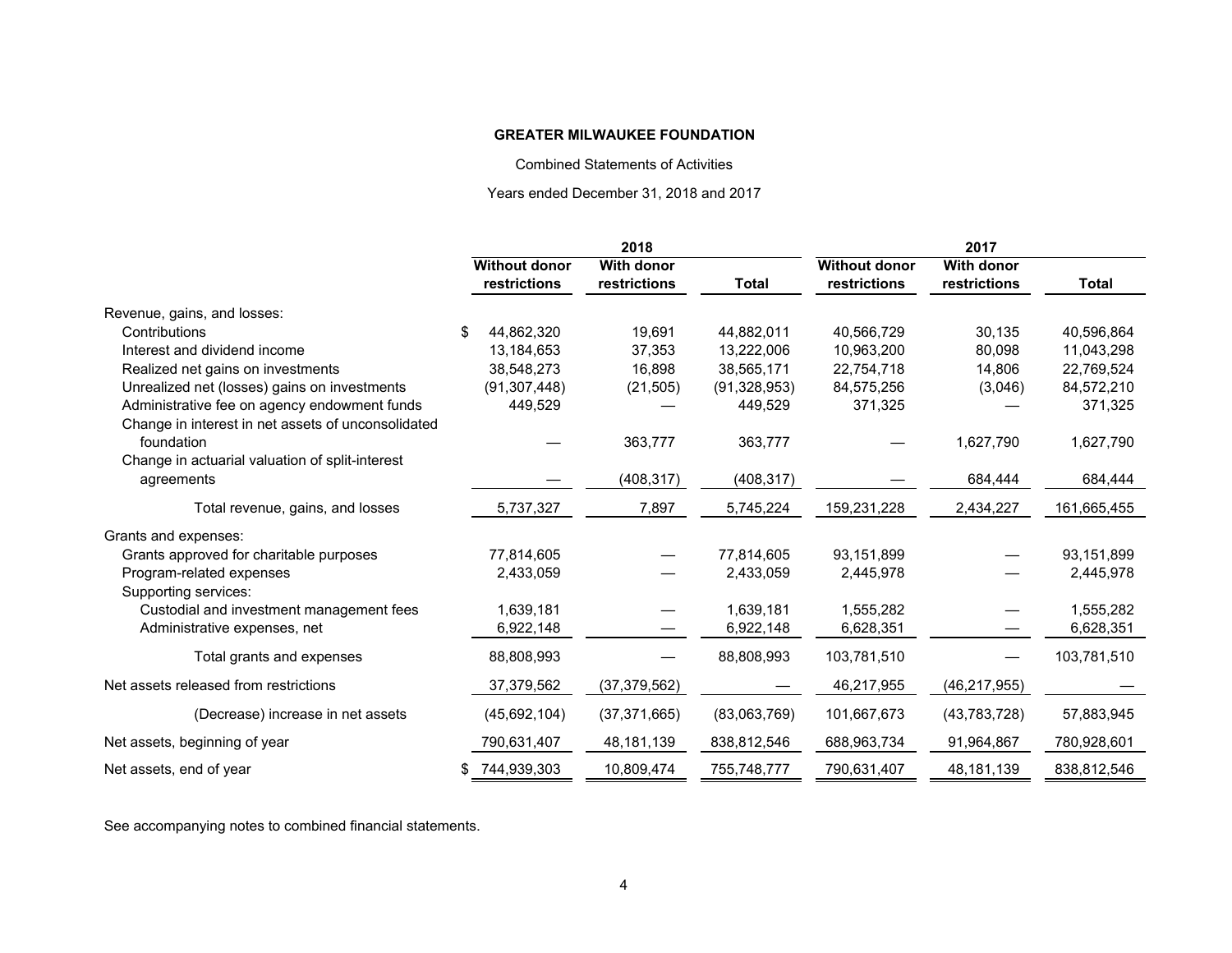Combined Statements of Activities

Years ended December 31, 2018 and 2017

|                                                    | 2018                 |                   |                | 2017                 |                   |              |
|----------------------------------------------------|----------------------|-------------------|----------------|----------------------|-------------------|--------------|
|                                                    | <b>Without donor</b> | <b>With donor</b> |                | <b>Without donor</b> | <b>With donor</b> |              |
|                                                    | restrictions         | restrictions      | Total          | restrictions         | restrictions      | <b>Total</b> |
| Revenue, gains, and losses:                        |                      |                   |                |                      |                   |              |
| Contributions                                      | 44,862,320           | 19,691            | 44,882,011     | 40,566,729           | 30,135            | 40,596,864   |
| Interest and dividend income                       | 13,184,653           | 37,353            | 13,222,006     | 10,963,200           | 80,098            | 11,043,298   |
| Realized net gains on investments                  | 38,548,273           | 16,898            | 38,565,171     | 22,754,718           | 14,806            | 22,769,524   |
| Unrealized net (losses) gains on investments       | (91, 307, 448)       | (21, 505)         | (91, 328, 953) | 84,575,256           | (3,046)           | 84,572,210   |
| Administrative fee on agency endowment funds       | 449,529              |                   | 449,529        | 371,325              |                   | 371,325      |
| Change in interest in net assets of unconsolidated |                      |                   |                |                      |                   |              |
| foundation                                         |                      | 363,777           | 363,777        |                      | 1,627,790         | 1,627,790    |
| Change in actuarial valuation of split-interest    |                      |                   |                |                      |                   |              |
| agreements                                         |                      | (408, 317)        | (408, 317)     |                      | 684,444           | 684,444      |
| Total revenue, gains, and losses                   | 5,737,327            | 7,897             | 5,745,224      | 159,231,228          | 2,434,227         | 161,665,455  |
| Grants and expenses:                               |                      |                   |                |                      |                   |              |
| Grants approved for charitable purposes            | 77,814,605           |                   | 77,814,605     | 93,151,899           |                   | 93,151,899   |
| Program-related expenses                           | 2,433,059            |                   | 2,433,059      | 2,445,978            |                   | 2,445,978    |
| Supporting services:                               |                      |                   |                |                      |                   |              |
| Custodial and investment management fees           | 1,639,181            |                   | 1,639,181      | 1,555,282            |                   | 1,555,282    |
| Administrative expenses, net                       | 6,922,148            |                   | 6,922,148      | 6,628,351            |                   | 6,628,351    |
| Total grants and expenses                          | 88,808,993           |                   | 88,808,993     | 103,781,510          |                   | 103,781,510  |
| Net assets released from restrictions              | 37,379,562           | (37, 379, 562)    |                | 46,217,955           | (46, 217, 955)    |              |
| (Decrease) increase in net assets                  | (45,692,104)         | (37, 371, 665)    | (83,063,769)   | 101,667,673          | (43, 783, 728)    | 57,883,945   |
| Net assets, beginning of year                      | 790,631,407          | 48, 181, 139      | 838,812,546    | 688,963,734          | 91,964,867        | 780,928,601  |
| Net assets, end of year                            | 744,939,303          | 10,809,474        | 755,748,777    | 790,631,407          | 48,181,139        | 838,812,546  |

See accompanying notes to combined financial statements.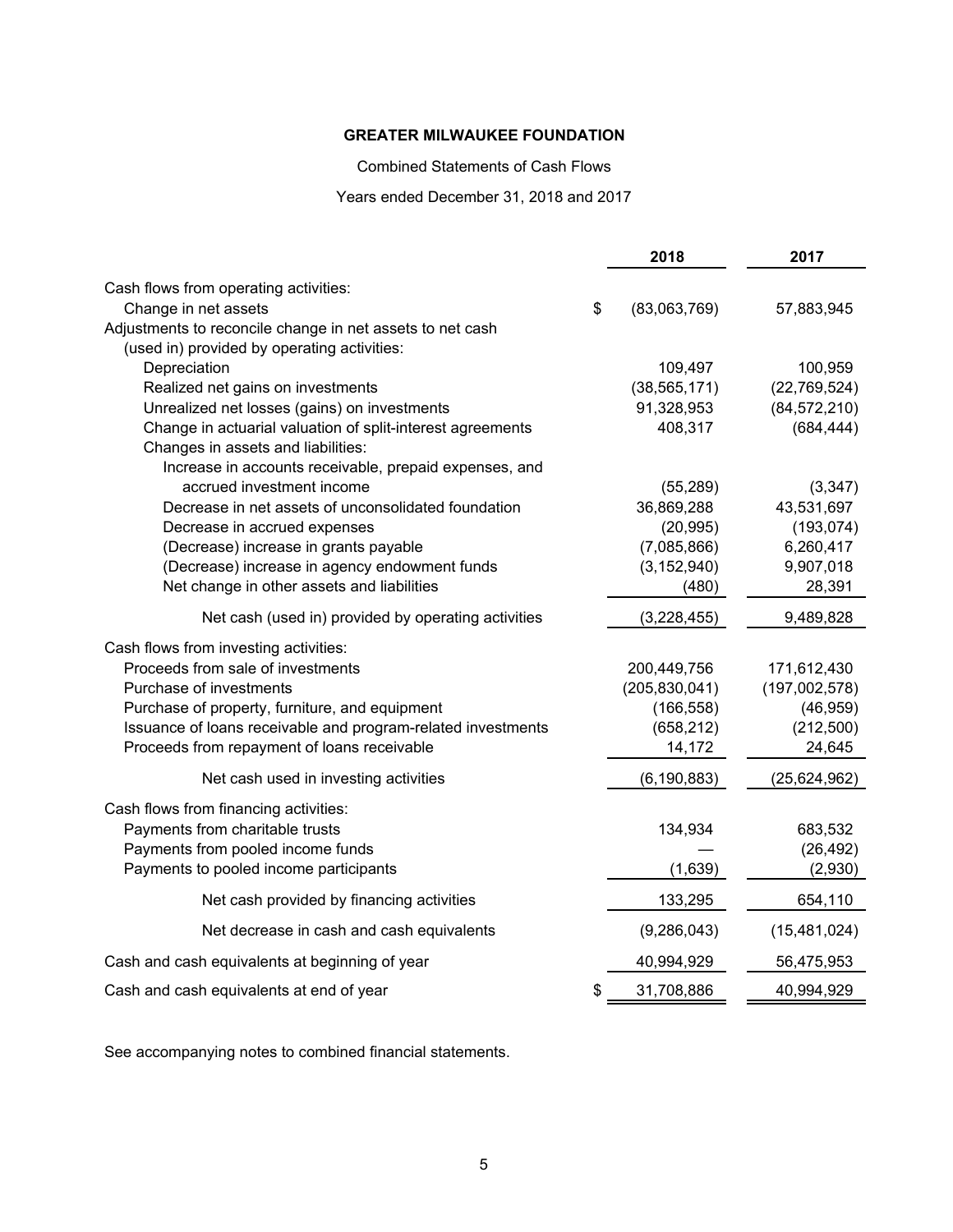Combined Statements of Cash Flows

Years ended December 31, 2018 and 2017

|                                                              | 2018            | 2017           |
|--------------------------------------------------------------|-----------------|----------------|
| Cash flows from operating activities:                        |                 |                |
| Change in net assets<br>\$                                   | (83,063,769)    | 57,883,945     |
| Adjustments to reconcile change in net assets to net cash    |                 |                |
| (used in) provided by operating activities:                  |                 |                |
| Depreciation                                                 | 109,497         | 100,959        |
| Realized net gains on investments                            | (38, 565, 171)  | (22, 769, 524) |
| Unrealized net losses (gains) on investments                 | 91,328,953      | (84, 572, 210) |
| Change in actuarial valuation of split-interest agreements   | 408,317         | (684, 444)     |
| Changes in assets and liabilities:                           |                 |                |
| Increase in accounts receivable, prepaid expenses, and       |                 |                |
| accrued investment income                                    | (55, 289)       | (3, 347)       |
| Decrease in net assets of unconsolidated foundation          | 36,869,288      | 43,531,697     |
| Decrease in accrued expenses                                 | (20, 995)       | (193, 074)     |
| (Decrease) increase in grants payable                        | (7,085,866)     | 6,260,417      |
| (Decrease) increase in agency endowment funds                | (3, 152, 940)   | 9,907,018      |
| Net change in other assets and liabilities                   | (480)           | 28,391         |
| Net cash (used in) provided by operating activities          | (3,228,455)     | 9,489,828      |
| Cash flows from investing activities:                        |                 |                |
| Proceeds from sale of investments                            | 200,449,756     | 171,612,430    |
| Purchase of investments                                      | (205, 830, 041) | (197,002,578)  |
| Purchase of property, furniture, and equipment               | (166, 558)      | (46, 959)      |
| Issuance of loans receivable and program-related investments | (658, 212)      | (212,500)      |
| Proceeds from repayment of loans receivable                  | 14,172          | 24,645         |
| Net cash used in investing activities                        | (6, 190, 883)   | (25, 624, 962) |
| Cash flows from financing activities:                        |                 |                |
| Payments from charitable trusts                              | 134,934         | 683,532        |
| Payments from pooled income funds                            |                 | (26, 492)      |
| Payments to pooled income participants                       | (1,639)         | (2,930)        |
| Net cash provided by financing activities                    | 133,295         | 654,110        |
| Net decrease in cash and cash equivalents                    | (9, 286, 043)   | (15, 481, 024) |
| Cash and cash equivalents at beginning of year               | 40,994,929      | 56,475,953     |
| Cash and cash equivalents at end of year<br>\$               | 31,708,886      | 40,994,929     |

See accompanying notes to combined financial statements.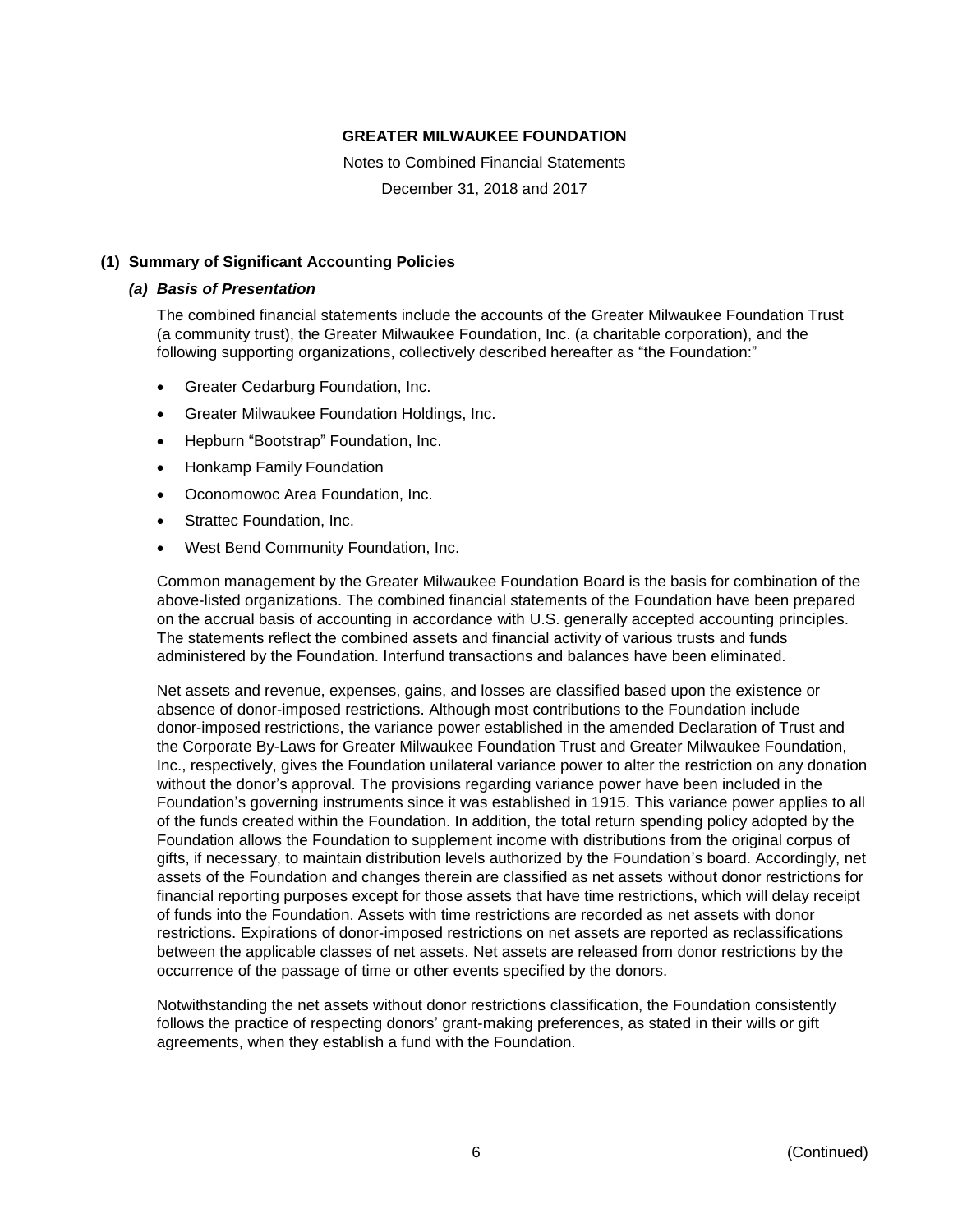Notes to Combined Financial Statements December 31, 2018 and 2017

## **(1) Summary of Significant Accounting Policies**

#### *(a) Basis of Presentation*

The combined financial statements include the accounts of the Greater Milwaukee Foundation Trust (a community trust), the Greater Milwaukee Foundation, Inc. (a charitable corporation), and the following supporting organizations, collectively described hereafter as "the Foundation:"

- Greater Cedarburg Foundation, Inc.
- Greater Milwaukee Foundation Holdings, Inc.
- Hepburn "Bootstrap" Foundation, Inc.
- Honkamp Family Foundation
- Oconomowoc Area Foundation, Inc.
- Strattec Foundation, Inc.
- West Bend Community Foundation, Inc.

Common management by the Greater Milwaukee Foundation Board is the basis for combination of the above-listed organizations. The combined financial statements of the Foundation have been prepared on the accrual basis of accounting in accordance with U.S. generally accepted accounting principles. The statements reflect the combined assets and financial activity of various trusts and funds administered by the Foundation. Interfund transactions and balances have been eliminated.

Net assets and revenue, expenses, gains, and losses are classified based upon the existence or absence of donor-imposed restrictions. Although most contributions to the Foundation include donor-imposed restrictions, the variance power established in the amended Declaration of Trust and the Corporate By-Laws for Greater Milwaukee Foundation Trust and Greater Milwaukee Foundation, Inc., respectively, gives the Foundation unilateral variance power to alter the restriction on any donation without the donor's approval. The provisions regarding variance power have been included in the Foundation's governing instruments since it was established in 1915. This variance power applies to all of the funds created within the Foundation. In addition, the total return spending policy adopted by the Foundation allows the Foundation to supplement income with distributions from the original corpus of gifts, if necessary, to maintain distribution levels authorized by the Foundation's board. Accordingly, net assets of the Foundation and changes therein are classified as net assets without donor restrictions for financial reporting purposes except for those assets that have time restrictions, which will delay receipt of funds into the Foundation. Assets with time restrictions are recorded as net assets with donor restrictions. Expirations of donor-imposed restrictions on net assets are reported as reclassifications between the applicable classes of net assets. Net assets are released from donor restrictions by the occurrence of the passage of time or other events specified by the donors.

Notwithstanding the net assets without donor restrictions classification, the Foundation consistently follows the practice of respecting donors' grant-making preferences, as stated in their wills or gift agreements, when they establish a fund with the Foundation.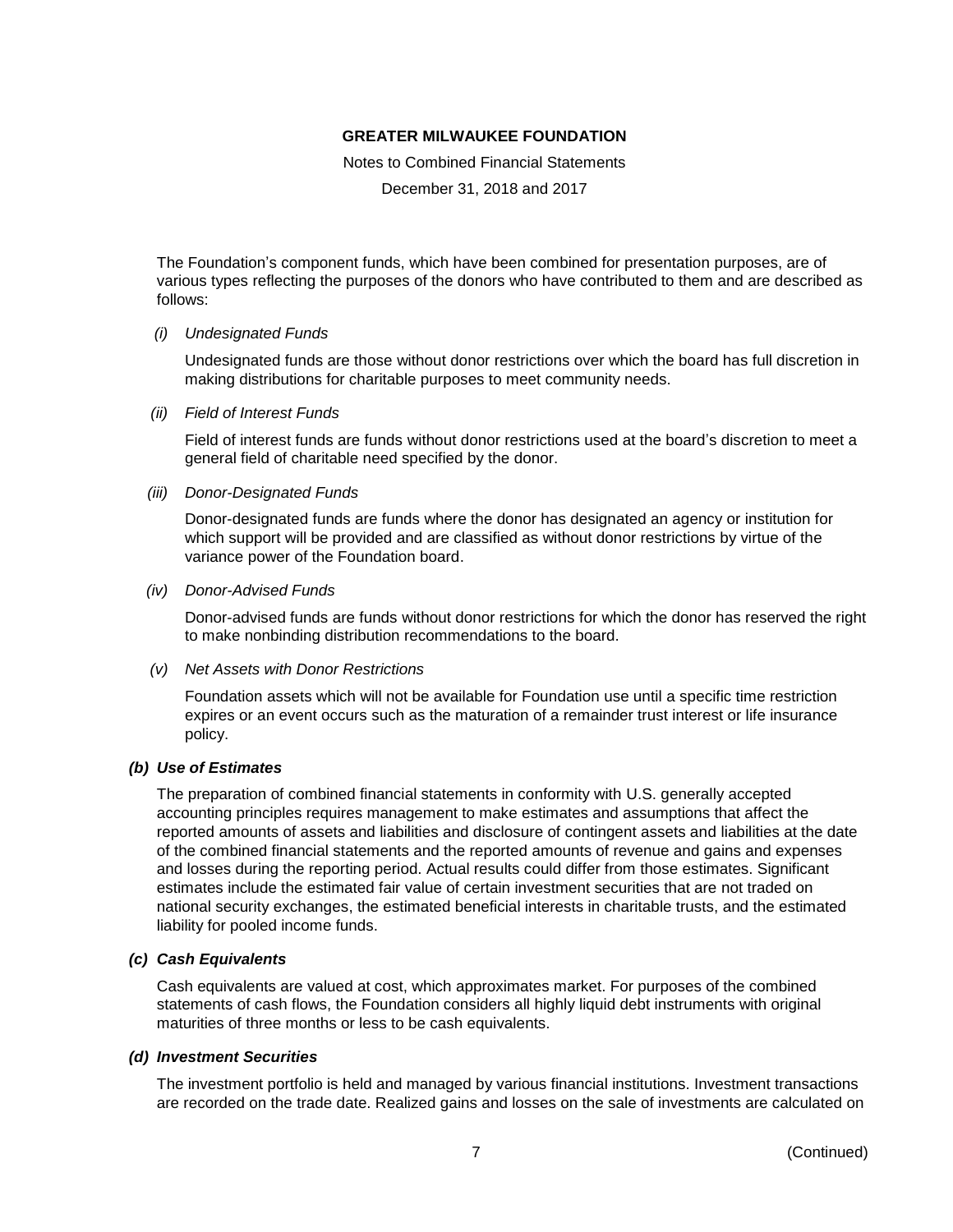Notes to Combined Financial Statements

December 31, 2018 and 2017

The Foundation's component funds, which have been combined for presentation purposes, are of various types reflecting the purposes of the donors who have contributed to them and are described as follows:

#### *(i) Undesignated Funds*

Undesignated funds are those without donor restrictions over which the board has full discretion in making distributions for charitable purposes to meet community needs.

*(ii) Field of Interest Funds*

Field of interest funds are funds without donor restrictions used at the board's discretion to meet a general field of charitable need specified by the donor.

*(iii) Donor-Designated Funds*

Donor-designated funds are funds where the donor has designated an agency or institution for which support will be provided and are classified as without donor restrictions by virtue of the variance power of the Foundation board.

*(iv) Donor-Advised Funds*

Donor-advised funds are funds without donor restrictions for which the donor has reserved the right to make nonbinding distribution recommendations to the board.

*(v) Net Assets with Donor Restrictions*

Foundation assets which will not be available for Foundation use until a specific time restriction expires or an event occurs such as the maturation of a remainder trust interest or life insurance policy.

#### *(b) Use of Estimates*

The preparation of combined financial statements in conformity with U.S. generally accepted accounting principles requires management to make estimates and assumptions that affect the reported amounts of assets and liabilities and disclosure of contingent assets and liabilities at the date of the combined financial statements and the reported amounts of revenue and gains and expenses and losses during the reporting period. Actual results could differ from those estimates. Significant estimates include the estimated fair value of certain investment securities that are not traded on national security exchanges, the estimated beneficial interests in charitable trusts, and the estimated liability for pooled income funds.

#### *(c) Cash Equivalents*

Cash equivalents are valued at cost, which approximates market. For purposes of the combined statements of cash flows, the Foundation considers all highly liquid debt instruments with original maturities of three months or less to be cash equivalents.

#### *(d) Investment Securities*

The investment portfolio is held and managed by various financial institutions. Investment transactions are recorded on the trade date. Realized gains and losses on the sale of investments are calculated on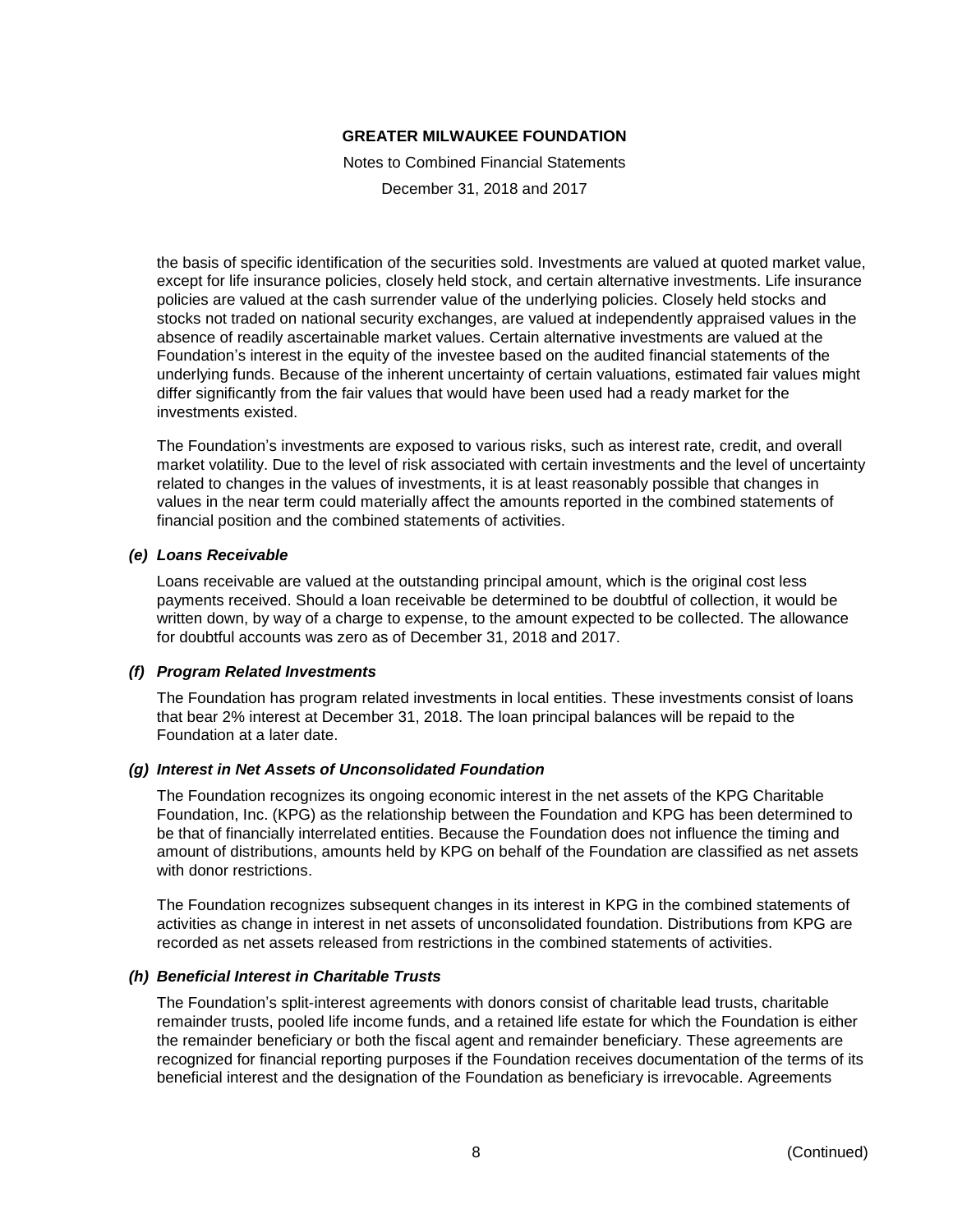Notes to Combined Financial Statements

December 31, 2018 and 2017

the basis of specific identification of the securities sold. Investments are valued at quoted market value, except for life insurance policies, closely held stock, and certain alternative investments. Life insurance policies are valued at the cash surrender value of the underlying policies. Closely held stocks and stocks not traded on national security exchanges, are valued at independently appraised values in the absence of readily ascertainable market values. Certain alternative investments are valued at the Foundation's interest in the equity of the investee based on the audited financial statements of the underlying funds. Because of the inherent uncertainty of certain valuations, estimated fair values might differ significantly from the fair values that would have been used had a ready market for the investments existed.

The Foundation's investments are exposed to various risks, such as interest rate, credit, and overall market volatility. Due to the level of risk associated with certain investments and the level of uncertainty related to changes in the values of investments, it is at least reasonably possible that changes in values in the near term could materially affect the amounts reported in the combined statements of financial position and the combined statements of activities.

#### *(e) Loans Receivable*

Loans receivable are valued at the outstanding principal amount, which is the original cost less payments received. Should a loan receivable be determined to be doubtful of collection, it would be written down, by way of a charge to expense, to the amount expected to be collected. The allowance for doubtful accounts was zero as of December 31, 2018 and 2017.

#### *(f) Program Related Investments*

The Foundation has program related investments in local entities. These investments consist of loans that bear 2% interest at December 31, 2018. The loan principal balances will be repaid to the Foundation at a later date.

#### *(g) Interest in Net Assets of Unconsolidated Foundation*

The Foundation recognizes its ongoing economic interest in the net assets of the KPG Charitable Foundation, Inc. (KPG) as the relationship between the Foundation and KPG has been determined to be that of financially interrelated entities. Because the Foundation does not influence the timing and amount of distributions, amounts held by KPG on behalf of the Foundation are classified as net assets with donor restrictions.

The Foundation recognizes subsequent changes in its interest in KPG in the combined statements of activities as change in interest in net assets of unconsolidated foundation. Distributions from KPG are recorded as net assets released from restrictions in the combined statements of activities.

#### *(h) Beneficial Interest in Charitable Trusts*

The Foundation's split-interest agreements with donors consist of charitable lead trusts, charitable remainder trusts, pooled life income funds, and a retained life estate for which the Foundation is either the remainder beneficiary or both the fiscal agent and remainder beneficiary. These agreements are recognized for financial reporting purposes if the Foundation receives documentation of the terms of its beneficial interest and the designation of the Foundation as beneficiary is irrevocable. Agreements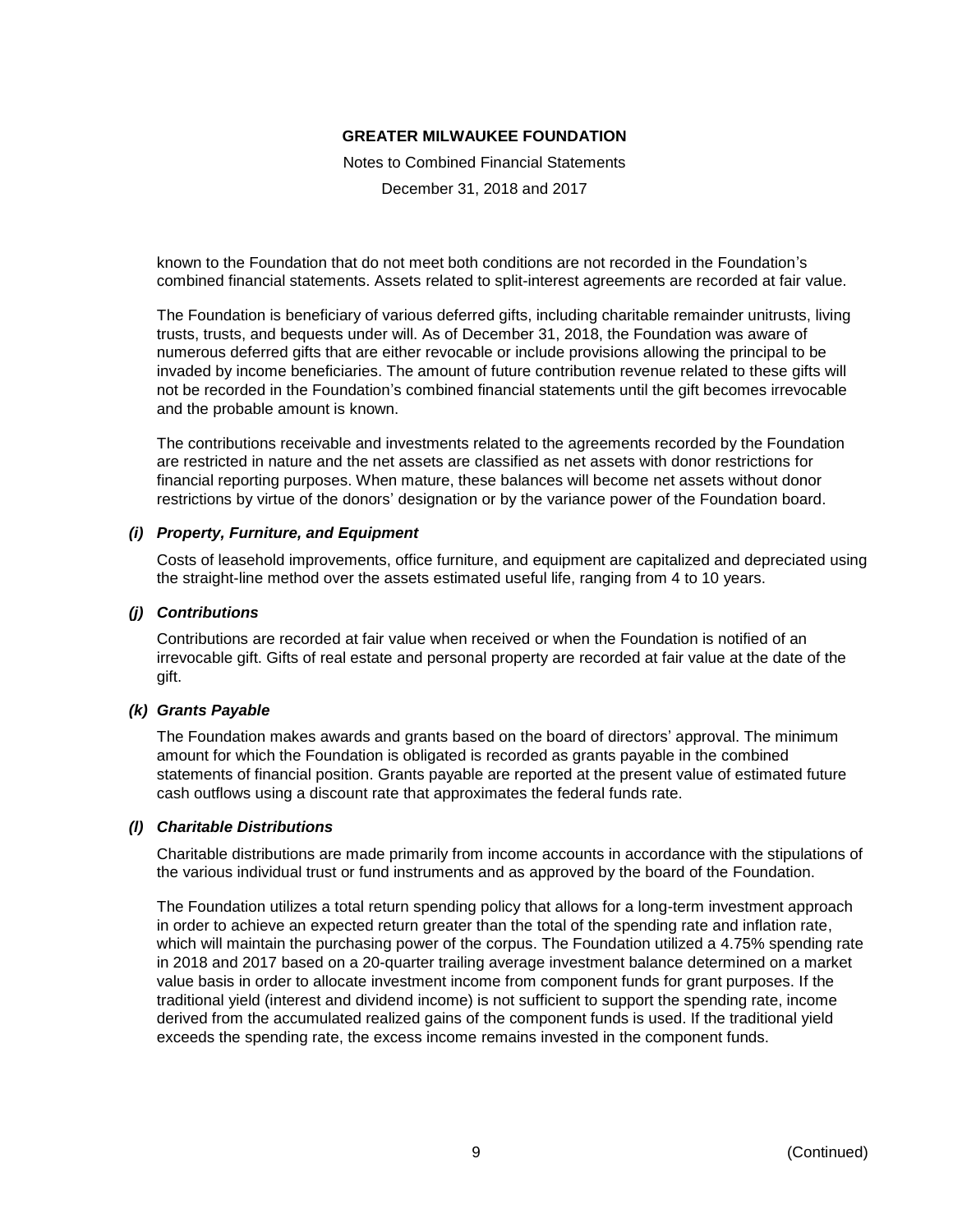Notes to Combined Financial Statements

December 31, 2018 and 2017

known to the Foundation that do not meet both conditions are not recorded in the Foundation's combined financial statements. Assets related to split-interest agreements are recorded at fair value.

The Foundation is beneficiary of various deferred gifts, including charitable remainder unitrusts, living trusts, trusts, and bequests under will. As of December 31, 2018, the Foundation was aware of numerous deferred gifts that are either revocable or include provisions allowing the principal to be invaded by income beneficiaries. The amount of future contribution revenue related to these gifts will not be recorded in the Foundation's combined financial statements until the gift becomes irrevocable and the probable amount is known.

The contributions receivable and investments related to the agreements recorded by the Foundation are restricted in nature and the net assets are classified as net assets with donor restrictions for financial reporting purposes. When mature, these balances will become net assets without donor restrictions by virtue of the donors' designation or by the variance power of the Foundation board.

#### *(i) Property, Furniture, and Equipment*

Costs of leasehold improvements, office furniture, and equipment are capitalized and depreciated using the straight-line method over the assets estimated useful life, ranging from 4 to 10 years.

# *(j) Contributions*

Contributions are recorded at fair value when received or when the Foundation is notified of an irrevocable gift. Gifts of real estate and personal property are recorded at fair value at the date of the gift.

#### *(k) Grants Payable*

The Foundation makes awards and grants based on the board of directors' approval. The minimum amount for which the Foundation is obligated is recorded as grants payable in the combined statements of financial position. Grants payable are reported at the present value of estimated future cash outflows using a discount rate that approximates the federal funds rate.

#### *(l) Charitable Distributions*

Charitable distributions are made primarily from income accounts in accordance with the stipulations of the various individual trust or fund instruments and as approved by the board of the Foundation.

The Foundation utilizes a total return spending policy that allows for a long-term investment approach in order to achieve an expected return greater than the total of the spending rate and inflation rate, which will maintain the purchasing power of the corpus. The Foundation utilized a 4.75% spending rate in 2018 and 2017 based on a 20-quarter trailing average investment balance determined on a market value basis in order to allocate investment income from component funds for grant purposes. If the traditional yield (interest and dividend income) is not sufficient to support the spending rate, income derived from the accumulated realized gains of the component funds is used. If the traditional yield exceeds the spending rate, the excess income remains invested in the component funds.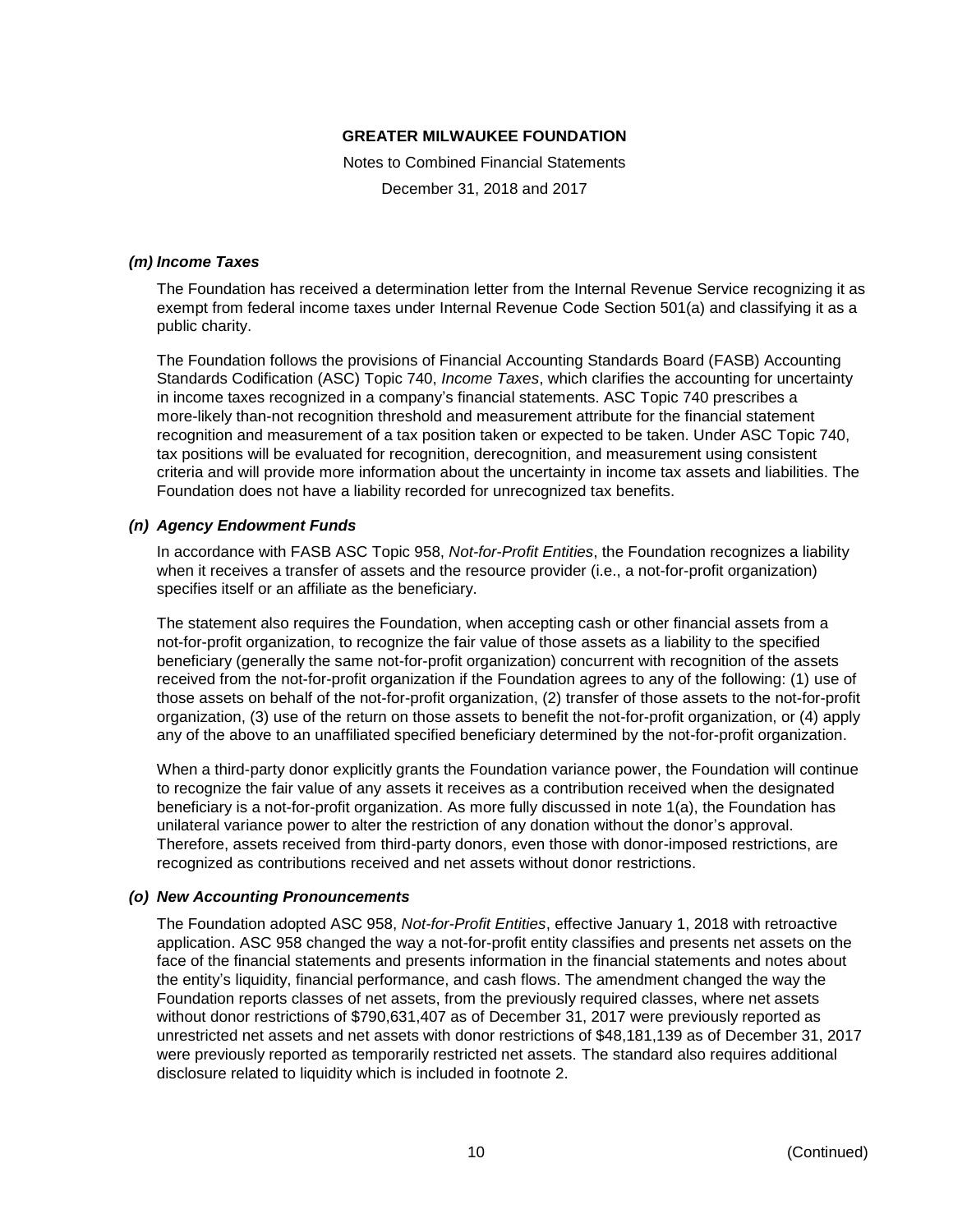Notes to Combined Financial Statements

December 31, 2018 and 2017

#### *(m) Income Taxes*

The Foundation has received a determination letter from the Internal Revenue Service recognizing it as exempt from federal income taxes under Internal Revenue Code Section 501(a) and classifying it as a public charity.

The Foundation follows the provisions of Financial Accounting Standards Board (FASB) Accounting Standards Codification (ASC) Topic 740, *Income Taxes*, which clarifies the accounting for uncertainty in income taxes recognized in a company's financial statements. ASC Topic 740 prescribes a more-likely than-not recognition threshold and measurement attribute for the financial statement recognition and measurement of a tax position taken or expected to be taken. Under ASC Topic 740, tax positions will be evaluated for recognition, derecognition, and measurement using consistent criteria and will provide more information about the uncertainty in income tax assets and liabilities. The Foundation does not have a liability recorded for unrecognized tax benefits.

# *(n) Agency Endowment Funds*

In accordance with FASB ASC Topic 958, *Not-for-Profit Entities*, the Foundation recognizes a liability when it receives a transfer of assets and the resource provider (i.e., a not-for-profit organization) specifies itself or an affiliate as the beneficiary.

The statement also requires the Foundation, when accepting cash or other financial assets from a not-for-profit organization, to recognize the fair value of those assets as a liability to the specified beneficiary (generally the same not-for-profit organization) concurrent with recognition of the assets received from the not-for-profit organization if the Foundation agrees to any of the following: (1) use of those assets on behalf of the not-for-profit organization, (2) transfer of those assets to the not-for-profit organization, (3) use of the return on those assets to benefit the not-for-profit organization, or (4) apply any of the above to an unaffiliated specified beneficiary determined by the not-for-profit organization.

When a third-party donor explicitly grants the Foundation variance power, the Foundation will continue to recognize the fair value of any assets it receives as a contribution received when the designated beneficiary is a not-for-profit organization. As more fully discussed in note 1(a), the Foundation has unilateral variance power to alter the restriction of any donation without the donor's approval. Therefore, assets received from third-party donors, even those with donor-imposed restrictions, are recognized as contributions received and net assets without donor restrictions.

# *(o) New Accounting Pronouncements*

The Foundation adopted ASC 958, *Not-for-Profit Entities*, effective January 1, 2018 with retroactive application. ASC 958 changed the way a not-for-profit entity classifies and presents net assets on the face of the financial statements and presents information in the financial statements and notes about the entity's liquidity, financial performance, and cash flows. The amendment changed the way the Foundation reports classes of net assets, from the previously required classes, where net assets without donor restrictions of \$790,631,407 as of December 31, 2017 were previously reported as unrestricted net assets and net assets with donor restrictions of \$48,181,139 as of December 31, 2017 were previously reported as temporarily restricted net assets. The standard also requires additional disclosure related to liquidity which is included in footnote 2.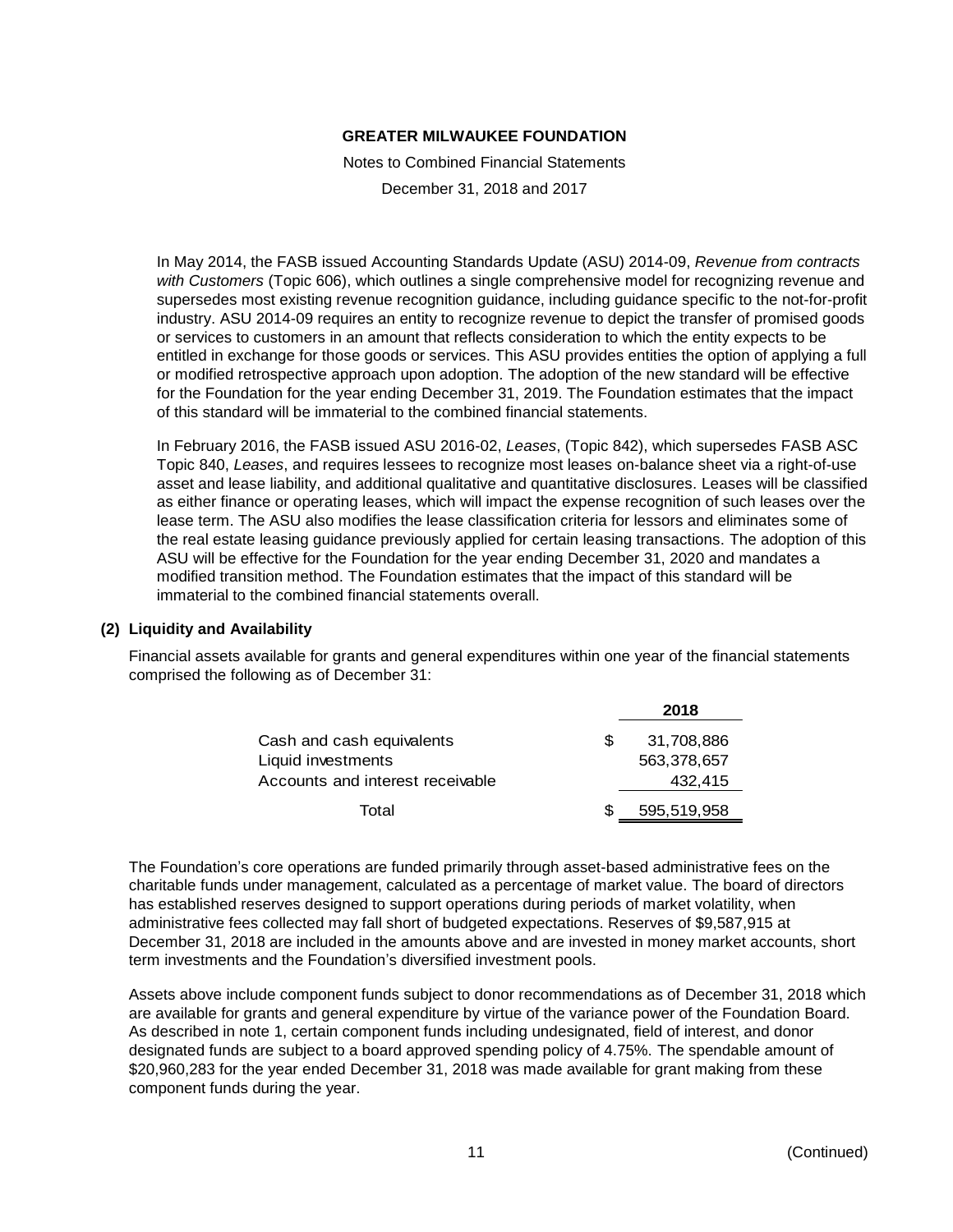Notes to Combined Financial Statements

December 31, 2018 and 2017

In May 2014, the FASB issued Accounting Standards Update (ASU) 2014-09, *Revenue from contracts with Customers* (Topic 606), which outlines a single comprehensive model for recognizing revenue and supersedes most existing revenue recognition guidance, including guidance specific to the not-for-profit industry. ASU 2014-09 requires an entity to recognize revenue to depict the transfer of promised goods or services to customers in an amount that reflects consideration to which the entity expects to be entitled in exchange for those goods or services. This ASU provides entities the option of applying a full or modified retrospective approach upon adoption. The adoption of the new standard will be effective for the Foundation for the year ending December 31, 2019. The Foundation estimates that the impact of this standard will be immaterial to the combined financial statements.

In February 2016, the FASB issued ASU 2016-02, *Leases*, (Topic 842), which supersedes FASB ASC Topic 840, *Leases*, and requires lessees to recognize most leases on-balance sheet via a right-of-use asset and lease liability, and additional qualitative and quantitative disclosures. Leases will be classified as either finance or operating leases, which will impact the expense recognition of such leases over the lease term. The ASU also modifies the lease classification criteria for lessors and eliminates some of the real estate leasing guidance previously applied for certain leasing transactions. The adoption of this ASU will be effective for the Foundation for the year ending December 31, 2020 and mandates a modified transition method. The Foundation estimates that the impact of this standard will be immaterial to the combined financial statements overall.

#### **(2) Liquidity and Availability**

Financial assets available for grants and general expenditures within one year of the financial statements comprised the following as of December 31:

|                                  | 2018        |
|----------------------------------|-------------|
| Cash and cash equivalents        | 31,708,886  |
| Liquid investments               | 563,378,657 |
| Accounts and interest receivable | 432.415     |
| Total                            | 595,519,958 |

The Foundation's core operations are funded primarily through asset-based administrative fees on the charitable funds under management, calculated as a percentage of market value. The board of directors has established reserves designed to support operations during periods of market volatility, when administrative fees collected may fall short of budgeted expectations. Reserves of \$9,587,915 at December 31, 2018 are included in the amounts above and are invested in money market accounts, short term investments and the Foundation's diversified investment pools.

Assets above include component funds subject to donor recommendations as of December 31, 2018 which are available for grants and general expenditure by virtue of the variance power of the Foundation Board. As described in note 1, certain component funds including undesignated, field of interest, and donor designated funds are subject to a board approved spending policy of 4.75%. The spendable amount of \$20,960,283 for the year ended December 31, 2018 was made available for grant making from these component funds during the year.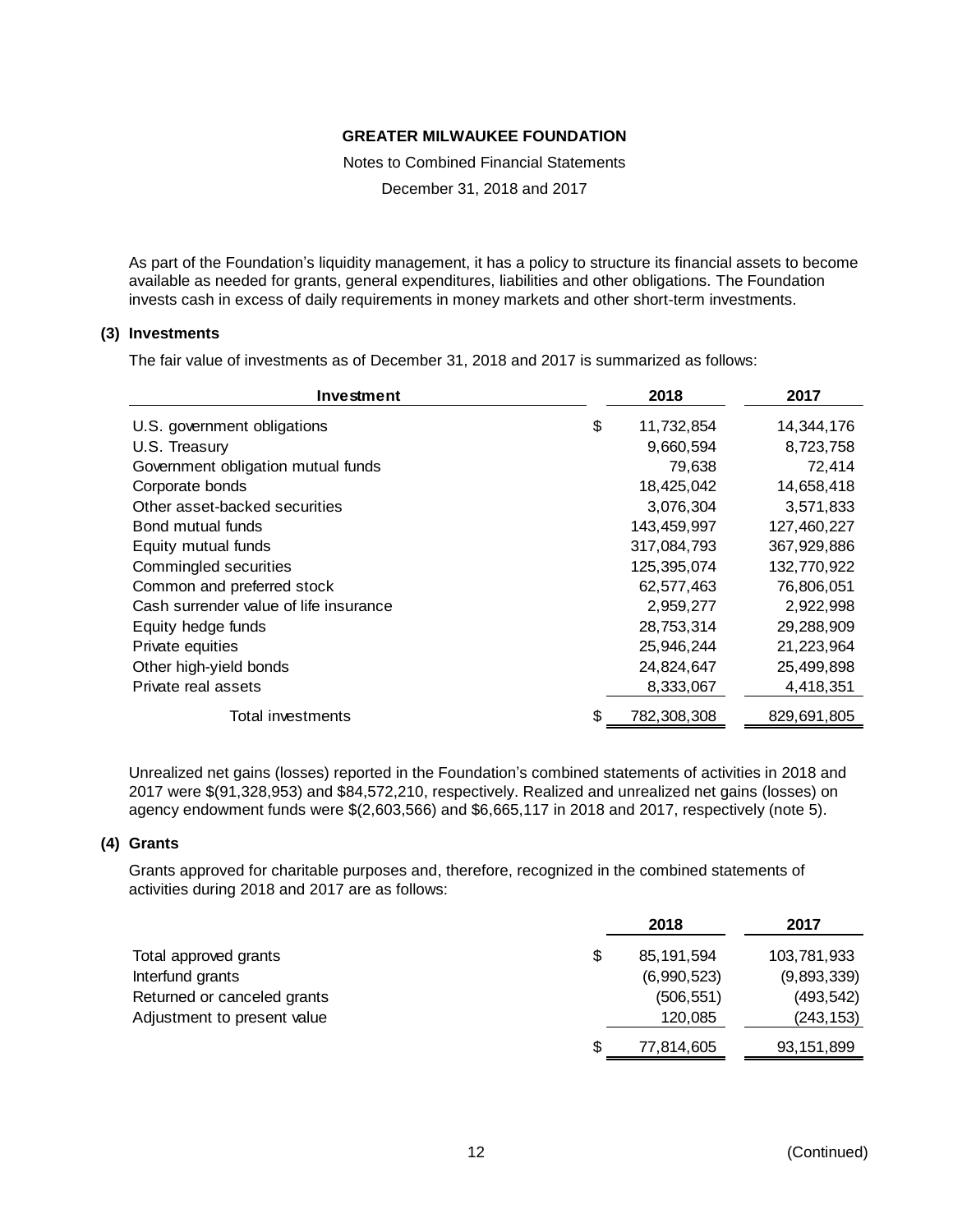Notes to Combined Financial Statements

December 31, 2018 and 2017

As part of the Foundation's liquidity management, it has a policy to structure its financial assets to become available as needed for grants, general expenditures, liabilities and other obligations. The Foundation invests cash in excess of daily requirements in money markets and other short-term investments.

# **(3) Investments**

The fair value of investments as of December 31, 2018 and 2017 is summarized as follows:

| Investment                             | 2018              | 2017        |
|----------------------------------------|-------------------|-------------|
| U.S. government obligations            | \$<br>11,732,854  | 14,344,176  |
| U.S. Treasury                          | 9,660,594         | 8,723,758   |
| Government obligation mutual funds     | 79,638            | 72,414      |
| Corporate bonds                        | 18,425,042        | 14,658,418  |
| Other asset-backed securities          | 3,076,304         | 3,571,833   |
| Bond mutual funds                      | 143,459,997       | 127,460,227 |
| Equity mutual funds                    | 317,084,793       | 367,929,886 |
| Commingled securities                  | 125,395,074       | 132,770,922 |
| Common and preferred stock             | 62,577,463        | 76,806,051  |
| Cash surrender value of life insurance | 2,959,277         | 2,922,998   |
| Equity hedge funds                     | 28,753,314        | 29,288,909  |
| Private equities                       | 25,946,244        | 21,223,964  |
| Other high-yield bonds                 | 24,824,647        | 25,499,898  |
| Private real assets                    | 8,333,067         | 4,418,351   |
| Total investments                      | \$<br>782,308,308 | 829,691,805 |

Unrealized net gains (losses) reported in the Foundation's combined statements of activities in 2018 and 2017 were \$(91,328,953) and \$84,572,210, respectively. Realized and unrealized net gains (losses) on agency endowment funds were \$(2,603,566) and \$6,665,117 in 2018 and 2017, respectively (note 5).

# **(4) Grants**

Grants approved for charitable purposes and, therefore, recognized in the combined statements of activities during 2018 and 2017 are as follows:

|                             | 2018        | 2017         |
|-----------------------------|-------------|--------------|
| Total approved grants       | 85.191.594  | 103,781,933  |
| Interfund grants            | (6,990,523) | (9,893,339)  |
| Returned or canceled grants | (506, 551)  | (493, 542)   |
| Adjustment to present value | 120,085     | (243, 153)   |
|                             | 77,814,605  | 93, 151, 899 |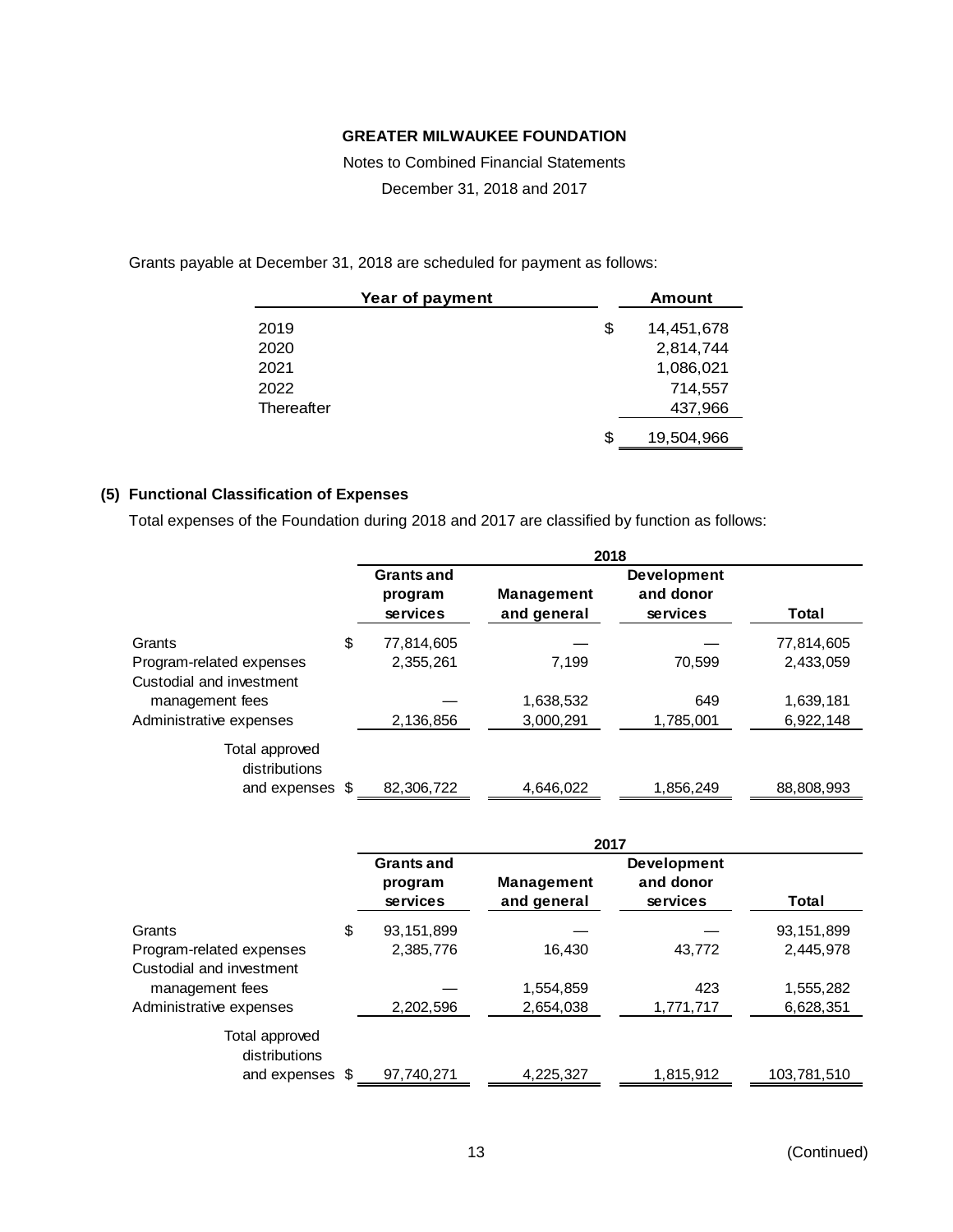Notes to Combined Financial Statements December 31, 2018 and 2017

Grants payable at December 31, 2018 are scheduled for payment as follows:

| Year of payment | Amount           |
|-----------------|------------------|
| 2019            | \$<br>14,451,678 |
| 2020            | 2,814,744        |
| 2021            | 1,086,021        |
| 2022            | 714,557          |
| Thereafter      | 437,966          |
|                 | \$<br>19,504,966 |

# **(5) Functional Classification of Expenses**

Total expenses of the Foundation during 2018 and 2017 are classified by function as follows:

|                                 |     | 2018                                     |                                  |                                             |            |
|---------------------------------|-----|------------------------------------------|----------------------------------|---------------------------------------------|------------|
|                                 |     | <b>Grants and</b><br>program<br>services | <b>Management</b><br>and general | <b>Development</b><br>and donor<br>services | Total      |
| Grants                          | \$  | 77,814,605                               |                                  |                                             | 77,814,605 |
| Program-related expenses        |     | 2,355,261                                | 7.199                            | 70,599                                      | 2,433,059  |
| Custodial and investment        |     |                                          |                                  |                                             |            |
| management fees                 |     |                                          | 1,638,532                        | 649                                         | 1,639,181  |
| Administrative expenses         |     | 2,136,856                                | 3,000,291                        | 1,785,001                                   | 6,922,148  |
| Total approved<br>distributions |     |                                          |                                  |                                             |            |
| and expenses                    | \$. | 82,306,722                               | 4,646,022                        | 1,856,249                                   | 88,808,993 |

|                          | 2017                         |                   |                                 |             |
|--------------------------|------------------------------|-------------------|---------------------------------|-------------|
|                          | <b>Grants and</b><br>program | <b>Management</b> | <b>Development</b><br>and donor |             |
|                          | services                     | and general       | services                        | Total       |
| Grants                   | \$<br>93,151,899             |                   |                                 | 93,151,899  |
| Program-related expenses | 2,385,776                    | 16,430            | 43,772                          | 2,445,978   |
| Custodial and investment |                              |                   |                                 |             |
| management fees          |                              | 1,554,859         | 423                             | 1,555,282   |
| Administrative expenses  | 2,202,596                    | 2,654,038         | 1,771,717                       | 6,628,351   |
| Total approved           |                              |                   |                                 |             |
| distributions            |                              |                   |                                 |             |
| and expenses \$          | 97,740,271                   | 4,225,327         | 1,815,912                       | 103,781,510 |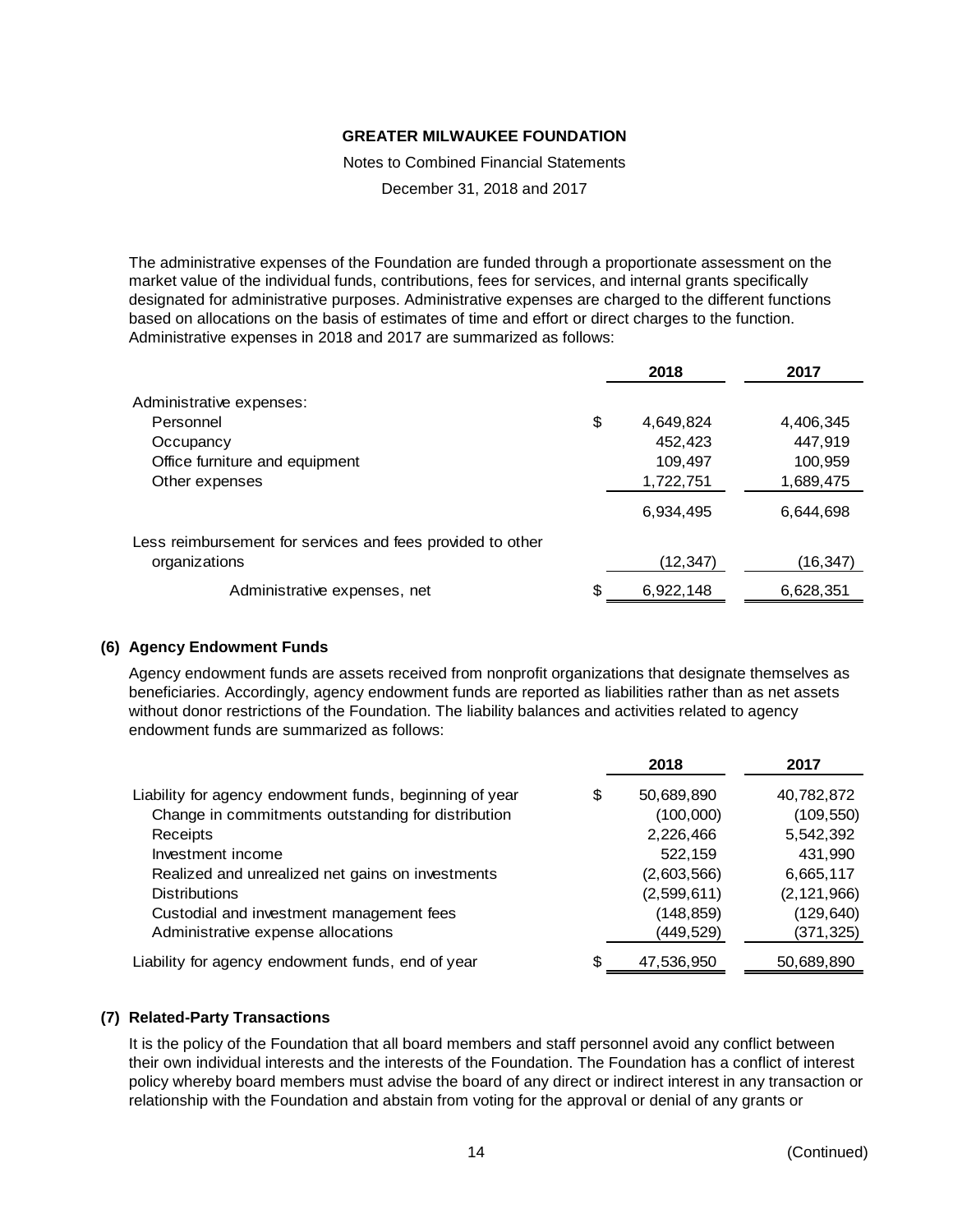Notes to Combined Financial Statements

December 31, 2018 and 2017

The administrative expenses of the Foundation are funded through a proportionate assessment on the market value of the individual funds, contributions, fees for services, and internal grants specifically designated for administrative purposes. Administrative expenses are charged to the different functions based on allocations on the basis of estimates of time and effort or direct charges to the function. Administrative expenses in 2018 and 2017 are summarized as follows:

|                                                            |    | 2018      | 2017      |
|------------------------------------------------------------|----|-----------|-----------|
| Administrative expenses:                                   |    |           |           |
| Personnel                                                  | \$ | 4,649,824 | 4,406,345 |
| Occupancy                                                  |    | 452,423   | 447,919   |
| Office furniture and equipment                             |    | 109,497   | 100,959   |
| Other expenses                                             |    | 1,722,751 | 1,689,475 |
|                                                            |    | 6,934,495 | 6,644,698 |
| Less reimbursement for services and fees provided to other |    |           |           |
| organizations                                              |    | (12, 347) | (16,347)  |
| Administrative expenses, net                               | S  | 6,922,148 | 6,628,351 |

#### **(6) Agency Endowment Funds**

Agency endowment funds are assets received from nonprofit organizations that designate themselves as beneficiaries. Accordingly, agency endowment funds are reported as liabilities rather than as net assets without donor restrictions of the Foundation. The liability balances and activities related to agency endowment funds are summarized as follows:

|                                                         | 2018             | 2017          |
|---------------------------------------------------------|------------------|---------------|
| Liability for agency endowment funds, beginning of year | \$<br>50,689,890 | 40,782,872    |
| Change in commitments outstanding for distribution      | (100,000)        | (109, 550)    |
| Receipts                                                | 2,226,466        | 5,542,392     |
| Investment income                                       | 522,159          | 431,990       |
| Realized and unrealized net gains on investments        | (2,603,566)      | 6,665,117     |
| <b>Distributions</b>                                    | (2,599,611)      | (2, 121, 966) |
| Custodial and investment management fees                | (148, 859)       | (129, 640)    |
| Administrative expense allocations                      | (449, 529)       | (371, 325)    |
| Liability for agency endowment funds, end of year       | \$<br>47,536,950 | 50,689,890    |

#### **(7) Related-Party Transactions**

It is the policy of the Foundation that all board members and staff personnel avoid any conflict between their own individual interests and the interests of the Foundation. The Foundation has a conflict of interest policy whereby board members must advise the board of any direct or indirect interest in any transaction or relationship with the Foundation and abstain from voting for the approval or denial of any grants or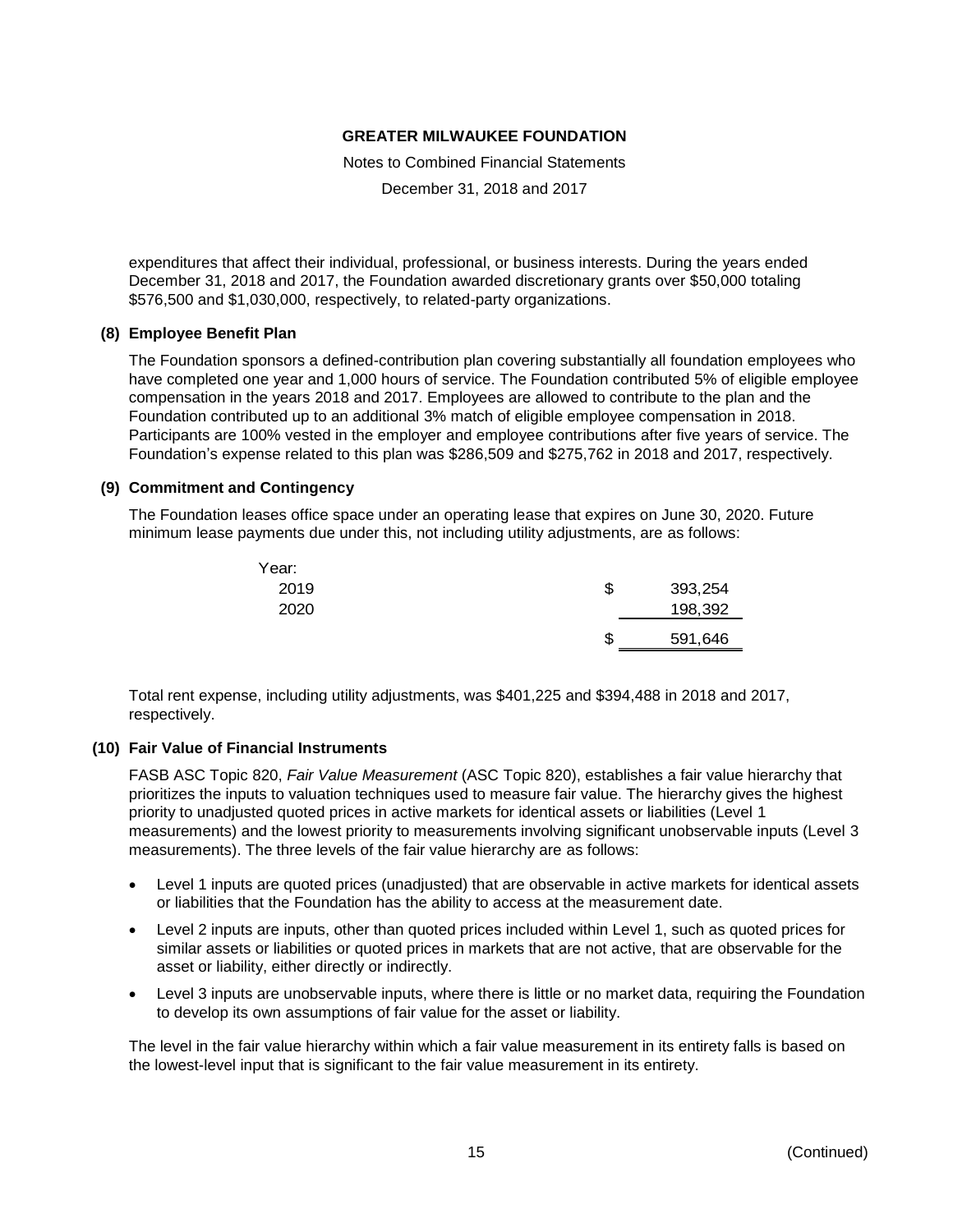Notes to Combined Financial Statements

December 31, 2018 and 2017

expenditures that affect their individual, professional, or business interests. During the years ended December 31, 2018 and 2017, the Foundation awarded discretionary grants over \$50,000 totaling \$576,500 and \$1,030,000, respectively, to related-party organizations.

#### **(8) Employee Benefit Plan**

The Foundation sponsors a defined-contribution plan covering substantially all foundation employees who have completed one year and 1,000 hours of service. The Foundation contributed 5% of eligible employee compensation in the years 2018 and 2017. Employees are allowed to contribute to the plan and the Foundation contributed up to an additional 3% match of eligible employee compensation in 2018. Participants are 100% vested in the employer and employee contributions after five years of service. The Foundation's expense related to this plan was \$286,509 and \$275,762 in 2018 and 2017, respectively.

#### **(9) Commitment and Contingency**

The Foundation leases office space under an operating lease that expires on June 30, 2020. Future minimum lease payments due under this, not including utility adjustments, are as follows:

| Year: |               |
|-------|---------------|
| 2019  | \$<br>393,254 |
| 2020  | 198,392       |
|       | \$<br>591,646 |

Total rent expense, including utility adjustments, was \$401,225 and \$394,488 in 2018 and 2017, respectively.

#### **(10) Fair Value of Financial Instruments**

FASB ASC Topic 820, *Fair Value Measurement* (ASC Topic 820), establishes a fair value hierarchy that prioritizes the inputs to valuation techniques used to measure fair value. The hierarchy gives the highest priority to unadjusted quoted prices in active markets for identical assets or liabilities (Level 1 measurements) and the lowest priority to measurements involving significant unobservable inputs (Level 3 measurements). The three levels of the fair value hierarchy are as follows:

- Level 1 inputs are quoted prices (unadjusted) that are observable in active markets for identical assets or liabilities that the Foundation has the ability to access at the measurement date.
- Level 2 inputs are inputs, other than quoted prices included within Level 1, such as quoted prices for similar assets or liabilities or quoted prices in markets that are not active, that are observable for the asset or liability, either directly or indirectly.
- Level 3 inputs are unobservable inputs, where there is little or no market data, requiring the Foundation to develop its own assumptions of fair value for the asset or liability.

The level in the fair value hierarchy within which a fair value measurement in its entirety falls is based on the lowest-level input that is significant to the fair value measurement in its entirety.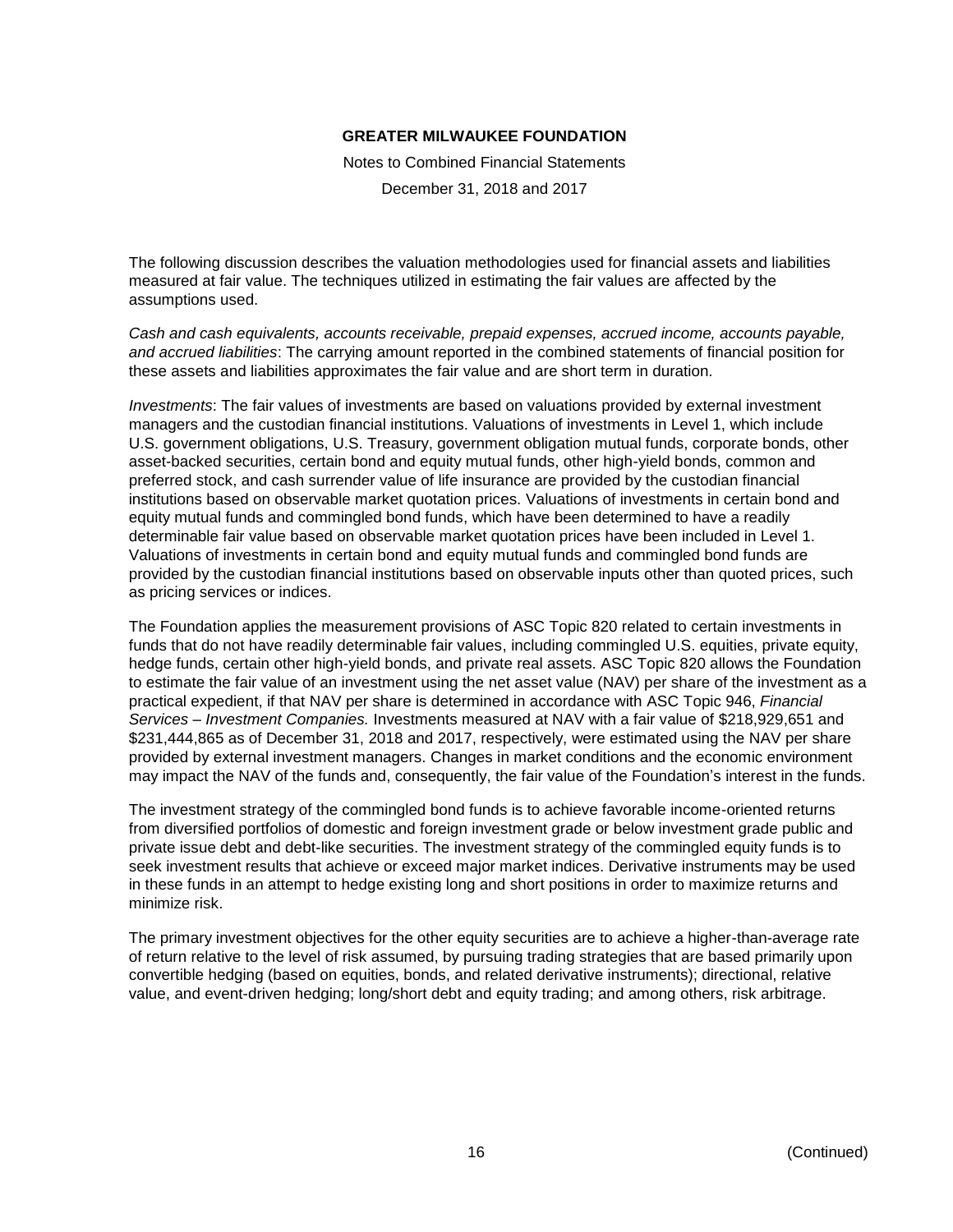Notes to Combined Financial Statements

December 31, 2018 and 2017

The following discussion describes the valuation methodologies used for financial assets and liabilities measured at fair value. The techniques utilized in estimating the fair values are affected by the assumptions used.

*Cash and cash equivalents, accounts receivable, prepaid expenses, accrued income, accounts payable, and accrued liabilities*: The carrying amount reported in the combined statements of financial position for these assets and liabilities approximates the fair value and are short term in duration.

*Investments*: The fair values of investments are based on valuations provided by external investment managers and the custodian financial institutions. Valuations of investments in Level 1, which include U.S. government obligations, U.S. Treasury, government obligation mutual funds, corporate bonds, other asset-backed securities, certain bond and equity mutual funds, other high-yield bonds, common and preferred stock, and cash surrender value of life insurance are provided by the custodian financial institutions based on observable market quotation prices. Valuations of investments in certain bond and equity mutual funds and commingled bond funds, which have been determined to have a readily determinable fair value based on observable market quotation prices have been included in Level 1. Valuations of investments in certain bond and equity mutual funds and commingled bond funds are provided by the custodian financial institutions based on observable inputs other than quoted prices, such as pricing services or indices.

The Foundation applies the measurement provisions of ASC Topic 820 related to certain investments in funds that do not have readily determinable fair values, including commingled U.S. equities, private equity, hedge funds, certain other high-yield bonds, and private real assets. ASC Topic 820 allows the Foundation to estimate the fair value of an investment using the net asset value (NAV) per share of the investment as a practical expedient, if that NAV per share is determined in accordance with ASC Topic 946, *Financial Services – Investment Companies.* Investments measured at NAV with a fair value of \$218,929,651 and \$231,444,865 as of December 31, 2018 and 2017, respectively, were estimated using the NAV per share provided by external investment managers. Changes in market conditions and the economic environment may impact the NAV of the funds and, consequently, the fair value of the Foundation's interest in the funds.

The investment strategy of the commingled bond funds is to achieve favorable income-oriented returns from diversified portfolios of domestic and foreign investment grade or below investment grade public and private issue debt and debt-like securities. The investment strategy of the commingled equity funds is to seek investment results that achieve or exceed major market indices. Derivative instruments may be used in these funds in an attempt to hedge existing long and short positions in order to maximize returns and minimize risk.

The primary investment objectives for the other equity securities are to achieve a higher-than-average rate of return relative to the level of risk assumed, by pursuing trading strategies that are based primarily upon convertible hedging (based on equities, bonds, and related derivative instruments); directional, relative value, and event-driven hedging; long/short debt and equity trading; and among others, risk arbitrage.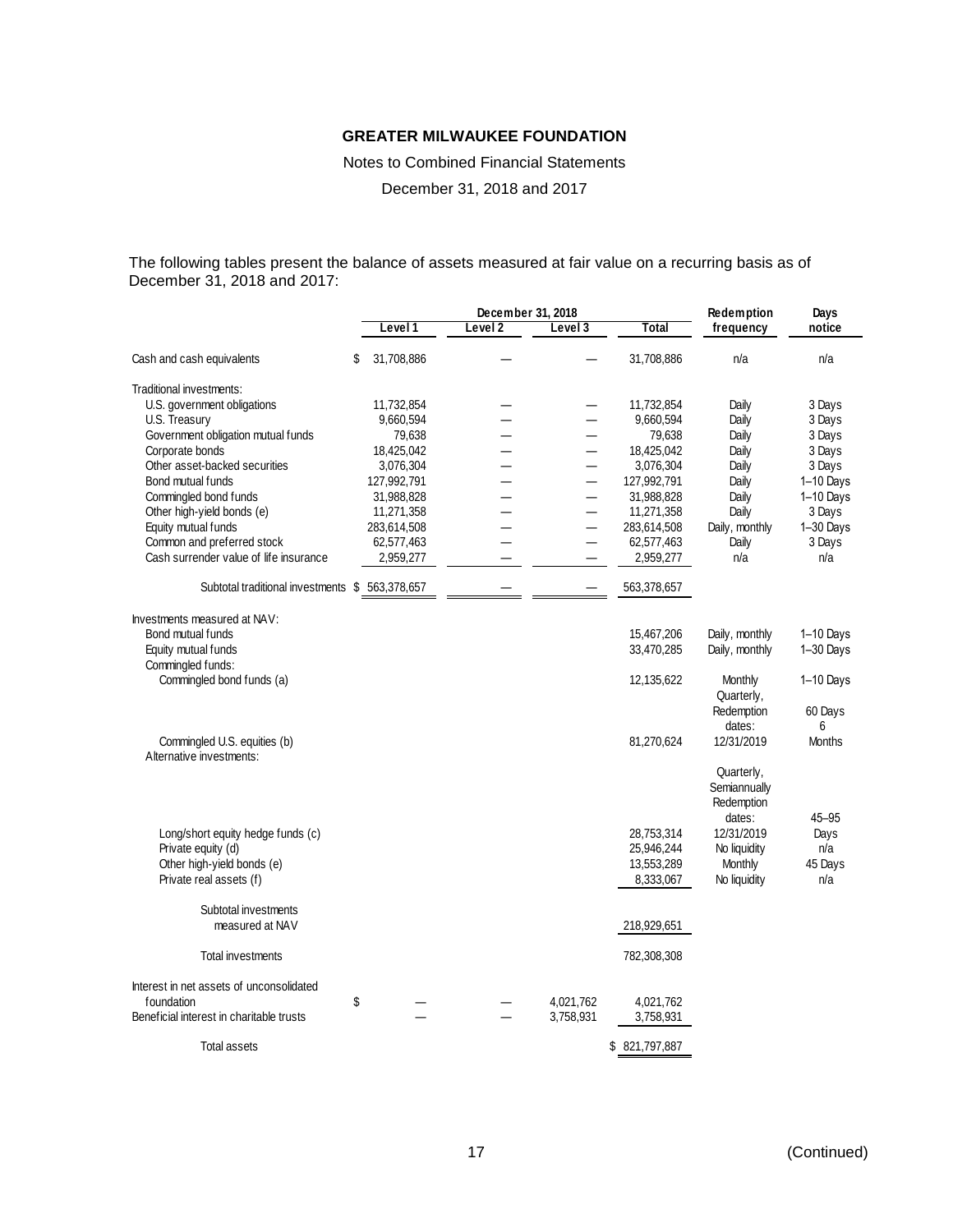Notes to Combined Financial Statements

December 31, 2018 and 2017

The following tables present the balance of assets measured at fair value on a recurring basis as of December 31, 2018 and 2017:

|                                                 |                  | December 31, 2018  | Redemption               | Days           |                |               |
|-------------------------------------------------|------------------|--------------------|--------------------------|----------------|----------------|---------------|
|                                                 | Level 1          | Level <sub>2</sub> | Level 3                  | Total          | frequency      | notice        |
| Cash and cash equivalents                       | \$<br>31,708,886 |                    |                          | 31,708,886     | n/a            | n/a           |
| Traditional investments:                        |                  |                    |                          |                |                |               |
| U.S. government obligations                     | 11,732,854       |                    |                          | 11,732,854     | Daily          | 3 Days        |
| U.S. Treasury                                   | 9,660,594        |                    | —                        | 9,660,594      | Daily          | 3 Days        |
| Government obligation mutual funds              | 79,638           |                    |                          | 79,638         | Daily          | 3 Days        |
| Corporate bonds                                 | 18,425,042       |                    | $=$                      | 18,425,042     | Daily          | 3 Days        |
| Other asset-backed securities                   | 3,076,304        |                    | —                        | 3,076,304      | Daily          | 3 Days        |
| Bond mutual funds                               | 127,992,791      |                    | —                        | 127,992,791    | Daily          | $1-10$ Days   |
| Commingled bond funds                           | 31,988,828       |                    | —                        | 31,988,828     | Daily          | 1-10 Days     |
| Other high-yield bonds (e)                      | 11,271,358       |                    | —                        | 11,271,358     | Daily          | 3 Days        |
| Equity mutual funds                             | 283,614,508      |                    | $\overline{\phantom{0}}$ | 283,614,508    | Daily, monthly | 1-30 Days     |
| Common and preferred stock                      | 62,577,463       |                    |                          | 62,577,463     | Daily          | 3 Days        |
| Cash surrender value of life insurance          | 2,959,277        |                    |                          | 2,959,277      | n/a            | n/a           |
| Subtotal traditional investments \$ 563,378,657 |                  |                    |                          | 563,378,657    |                |               |
| Investments measured at NAV:                    |                  |                    |                          |                |                |               |
| Bond mutual funds                               |                  |                    |                          | 15,467,206     | Daily, monthly | $1-10$ Days   |
| Equity mutual funds                             |                  |                    |                          | 33,470,285     | Daily, monthly | $1 - 30$ Days |
| Commingled funds:                               |                  |                    |                          |                |                |               |
| Commingled bond funds (a)                       |                  |                    |                          | 12,135,622     | Monthly        | 1-10 Days     |
|                                                 |                  |                    |                          |                | Quarterly,     |               |
|                                                 |                  |                    |                          |                | Redemption     | 60 Days       |
|                                                 |                  |                    |                          |                | dates:         | 6             |
| Commingled U.S. equities (b)                    |                  |                    |                          | 81,270,624     | 12/31/2019     | <b>Months</b> |
| Alternative investments:                        |                  |                    |                          |                |                |               |
|                                                 |                  |                    |                          |                | Quarterly,     |               |
|                                                 |                  |                    |                          |                | Semiannually   |               |
|                                                 |                  |                    |                          |                | Redemption     |               |
|                                                 |                  |                    |                          |                | dates:         | $45 - 95$     |
| Long/short equity hedge funds (c)               |                  |                    |                          | 28,753,314     | 12/31/2019     | Days          |
| Private equity (d)                              |                  |                    |                          | 25,946,244     | No liquidity   | n/a           |
| Other high-yield bonds (e)                      |                  |                    |                          | 13,553,289     | Monthly        | 45 Days       |
| Private real assets (f)                         |                  |                    |                          | 8,333,067      | No liquidity   | n/a           |
| Subtotal investments                            |                  |                    |                          |                |                |               |
| measured at NAV                                 |                  |                    |                          | 218,929,651    |                |               |
| Total investments                               |                  |                    |                          | 782,308,308    |                |               |
| Interest in net assets of unconsolidated        |                  |                    |                          |                |                |               |
| foundation                                      | \$               |                    | 4,021,762                | 4,021,762      |                |               |
| Beneficial interest in charitable trusts        |                  |                    | 3,758,931                | 3,758,931      |                |               |
| Total assets                                    |                  |                    |                          | \$ 821,797,887 |                |               |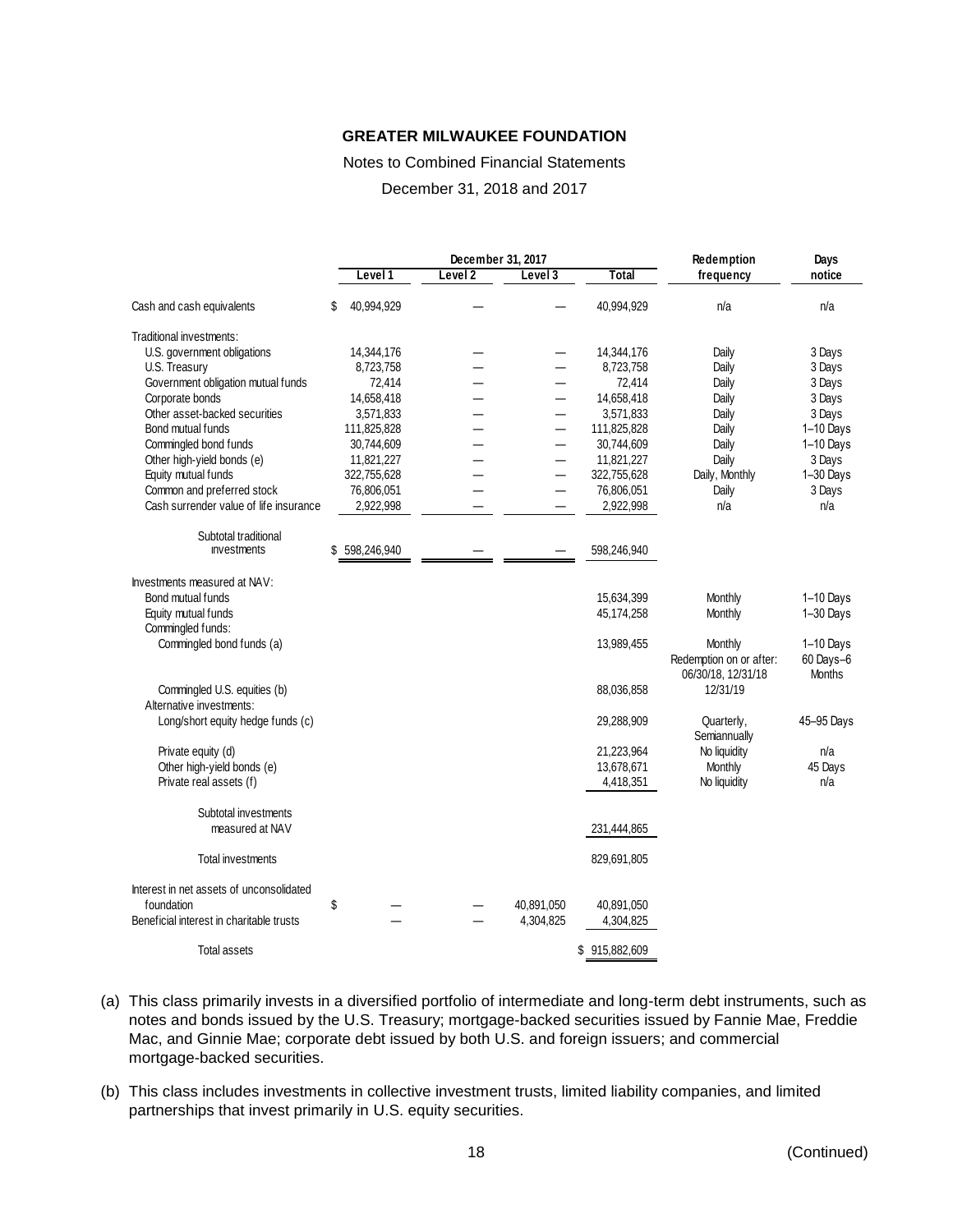## Notes to Combined Financial Statements

December 31, 2018 and 2017

|                                                                                                    |    | December 31, 2017 |         |  |                          | Redemption              | Days                                                     |                                           |
|----------------------------------------------------------------------------------------------------|----|-------------------|---------|--|--------------------------|-------------------------|----------------------------------------------------------|-------------------------------------------|
|                                                                                                    |    | Level 1           | Level 2 |  | Level 3                  | Total                   | frequency                                                | notice                                    |
| Cash and cash equivalents                                                                          | S  | 40,994,929        |         |  |                          | 40,994,929              | n/a                                                      | n/a                                       |
| Traditional investments:                                                                           |    |                   |         |  |                          |                         |                                                          |                                           |
| U.S. government obligations                                                                        |    | 14,344,176        |         |  |                          | 14,344,176              | Daily                                                    | 3 Days                                    |
| U.S. Treasury                                                                                      |    | 8,723,758         |         |  |                          | 8,723,758               | Daily                                                    | 3 Days                                    |
| Government obligation mutual funds                                                                 |    | 72,414            |         |  |                          | 72,414                  | Daily                                                    | 3 Days                                    |
| Corporate bonds                                                                                    |    | 14,658,418        |         |  |                          | 14,658,418              | Daily                                                    | 3 Days                                    |
| Other asset-backed securities                                                                      |    | 3,571,833         |         |  |                          | 3,571,833               | Daily                                                    | 3 Days                                    |
| Bond mutual funds                                                                                  |    | 111,825,828       |         |  | $\overline{\phantom{0}}$ | 111,825,828             | Daily                                                    | $1-10$ Days                               |
| Commingled bond funds                                                                              |    | 30,744,609        |         |  |                          | 30,744,609              | Daily                                                    | 1-10 Days                                 |
| Other high-yield bonds (e)                                                                         |    | 11,821,227        |         |  |                          | 11,821,227              | Daily                                                    | 3 Days                                    |
| Equity mutual funds                                                                                |    | 322,755,628       |         |  |                          | 322,755,628             | Daily, Monthly                                           | 1-30 Days                                 |
| Common and preferred stock                                                                         |    | 76,806,051        |         |  | —                        | 76,806,051              | Daily                                                    | 3 Days                                    |
| Cash surrender value of life insurance                                                             |    | 2,922,998         |         |  |                          | 2,922,998               | n/a                                                      | n/a                                       |
| Subtotal traditional                                                                               |    |                   |         |  |                          |                         |                                                          |                                           |
| investments                                                                                        |    | \$598,246,940     |         |  |                          | 598,246,940             |                                                          |                                           |
| Investments measured at NAV:                                                                       |    |                   |         |  |                          |                         |                                                          |                                           |
| Bond mutual funds                                                                                  |    |                   |         |  |                          | 15,634,399              | Monthly                                                  | 1-10 Days                                 |
| Equity mutual funds                                                                                |    |                   |         |  |                          | 45,174,258              | Monthly                                                  | 1-30 Days                                 |
| Commingled funds:                                                                                  |    |                   |         |  |                          |                         |                                                          |                                           |
| Commingled bond funds (a)                                                                          |    |                   |         |  |                          | 13,989,455              | Monthly<br>Redemption on or after:<br>06/30/18, 12/31/18 | $1-10$ Days<br>60 Days-6<br><b>Months</b> |
| Commingled U.S. equities (b)<br>Alternative investments:                                           |    |                   |         |  |                          | 88,036,858              | 12/31/19                                                 |                                           |
| Long/short equity hedge funds (c)                                                                  |    |                   |         |  |                          | 29,288,909              | Quarterly,<br>Semiannually                               | 45-95 Days                                |
| Private equity (d)                                                                                 |    |                   |         |  |                          | 21,223,964              | No liquidity                                             | n/a                                       |
| Other high-yield bonds (e)                                                                         |    |                   |         |  |                          | 13,678,671              | Monthly                                                  | 45 Days                                   |
| Private real assets (f)                                                                            |    |                   |         |  |                          | 4,418,351               | No liquidity                                             | n/a                                       |
| Subtotal investments<br>measured at NAV                                                            |    |                   |         |  |                          | 231,444,865             |                                                          |                                           |
| Total investments                                                                                  |    |                   |         |  |                          | 829,691,805             |                                                          |                                           |
|                                                                                                    |    |                   |         |  |                          |                         |                                                          |                                           |
| Interest in net assets of unconsolidated<br>foundation<br>Beneficial interest in charitable trusts | \$ |                   |         |  | 40,891,050<br>4,304,825  | 40,891,050<br>4,304,825 |                                                          |                                           |
| Total assets                                                                                       |    |                   |         |  |                          | \$915,882,609           |                                                          |                                           |

- (a) This class primarily invests in a diversified portfolio of intermediate and long-term debt instruments, such as notes and bonds issued by the U.S. Treasury; mortgage-backed securities issued by Fannie Mae, Freddie Mac, and Ginnie Mae; corporate debt issued by both U.S. and foreign issuers; and commercial mortgage-backed securities.
- (b) This class includes investments in collective investment trusts, limited liability companies, and limited partnerships that invest primarily in U.S. equity securities.